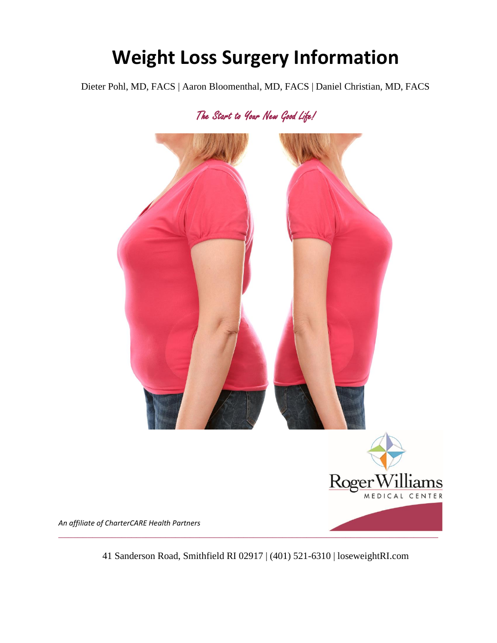# **Weight Loss Surgery Information**

Dieter Pohl, MD, FACS | Aaron Bloomenthal, MD, FACS | Daniel Christian, MD, FACS

The Start to Your New Good Life!



41 Sanderson Road, Smithfield RI 02917 | (401) 521-6310 | loseweightRI.com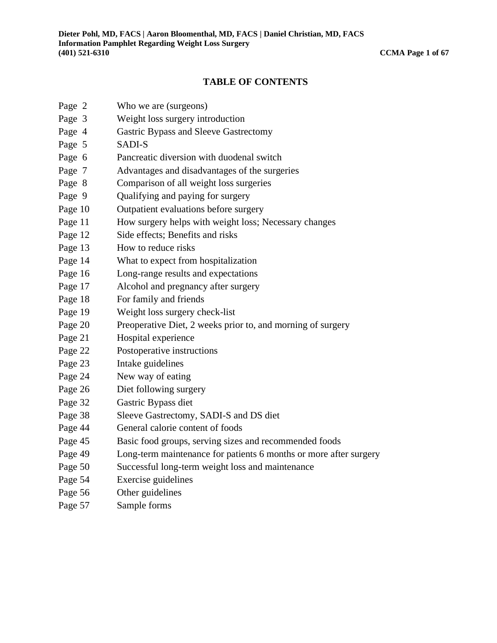#### **TABLE OF CONTENTS**

- Page 2 Who we are (surgeons)
- Page 3 Weight loss surgery introduction
- Page 4 Gastric Bypass and Sleeve Gastrectomy
- Page 5 SADI-S
- Page 6 Pancreatic diversion with duodenal switch
- Page 7 Advantages and disadvantages of the surgeries
- Page 8 Comparison of all weight loss surgeries
- Page 9 Qualifying and paying for surgery
- Page 10 Outpatient evaluations before surgery
- Page 11 How surgery helps with weight loss; Necessary changes
- Page 12 Side effects; Benefits and risks
- Page 13 How to reduce risks
- Page 14 What to expect from hospitalization
- Page 16 Long-range results and expectations
- Page 17 Alcohol and pregnancy after surgery
- Page 18 For family and friends
- Page 19 Weight loss surgery check-list
- Page 20 Preoperative Diet, 2 weeks prior to, and morning of surgery
- Page 21 Hospital experience
- Page 22 Postoperative instructions
- Page 23 Intake guidelines
- Page 24 New way of eating
- Page 26 Diet following surgery
- Page 32 Gastric Bypass diet
- Page 38 Sleeve Gastrectomy, SADI-S and DS diet
- Page 44 General calorie content of foods
- Page 45 Basic food groups, serving sizes and recommended foods
- Page 49 Long-term maintenance for patients 6 months or more after surgery
- Page 50 Successful long-term weight loss and maintenance
- Page 54 Exercise guidelines
- Page 56 Other guidelines
- Page 57 Sample forms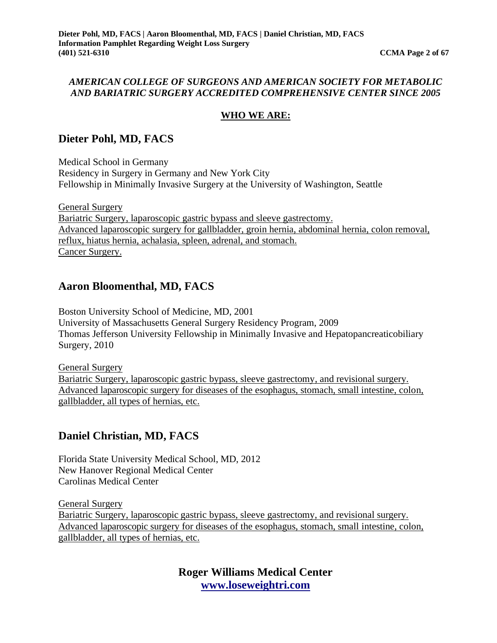#### *AMERICAN COLLEGE OF SURGEONS AND AMERICAN SOCIETY FOR METABOLIC AND BARIATRIC SURGERY ACCREDITED COMPREHENSIVE CENTER SINCE 2005*

#### **WHO WE ARE:**

# **Dieter Pohl, MD, FACS**

Medical School in Germany Residency in Surgery in Germany and New York City Fellowship in Minimally Invasive Surgery at the University of Washington, Seattle

General Surgery Bariatric Surgery, laparoscopic gastric bypass and sleeve gastrectomy. Advanced laparoscopic surgery for gallbladder, groin hernia, abdominal hernia, colon removal, reflux, hiatus hernia, achalasia, spleen, adrenal, and stomach. Cancer Surgery.

### **Aaron Bloomenthal, MD, FACS**

Boston University School of Medicine, MD, 2001 University of Massachusetts General Surgery Residency Program, 2009 Thomas Jefferson University Fellowship in Minimally Invasive and Hepatopancreaticobiliary Surgery, 2010

General Surgery Bariatric Surgery, laparoscopic gastric bypass, sleeve gastrectomy, and revisional surgery. Advanced laparoscopic surgery for diseases of the esophagus, stomach, small intestine, colon, gallbladder, all types of hernias, etc.

# **Daniel Christian, MD, FACS**

Florida State University Medical School, MD, 2012 New Hanover Regional Medical Center Carolinas Medical Center

General Surgery Bariatric Surgery, laparoscopic gastric bypass, sleeve gastrectomy, and revisional surgery. Advanced laparoscopic surgery for diseases of the esophagus, stomach, small intestine, colon, gallbladder, all types of hernias, etc.

> **Roger Williams Medical Center [www.loseweightri.com](http://www.loseweightri.com/)**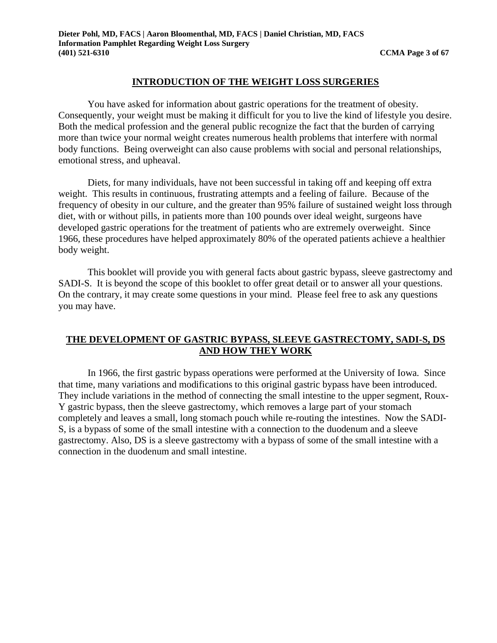#### **INTRODUCTION OF THE WEIGHT LOSS SURGERIES**

You have asked for information about gastric operations for the treatment of obesity. Consequently, your weight must be making it difficult for you to live the kind of lifestyle you desire. Both the medical profession and the general public recognize the fact that the burden of carrying more than twice your normal weight creates numerous health problems that interfere with normal body functions. Being overweight can also cause problems with social and personal relationships, emotional stress, and upheaval.

Diets, for many individuals, have not been successful in taking off and keeping off extra weight. This results in continuous, frustrating attempts and a feeling of failure. Because of the frequency of obesity in our culture, and the greater than 95% failure of sustained weight loss through diet, with or without pills, in patients more than 100 pounds over ideal weight, surgeons have developed gastric operations for the treatment of patients who are extremely overweight. Since 1966, these procedures have helped approximately 80% of the operated patients achieve a healthier body weight.

This booklet will provide you with general facts about gastric bypass, sleeve gastrectomy and SADI-S. It is beyond the scope of this booklet to offer great detail or to answer all your questions. On the contrary, it may create some questions in your mind. Please feel free to ask any questions you may have.

#### **THE DEVELOPMENT OF GASTRIC BYPASS, SLEEVE GASTRECTOMY, SADI-S, DS AND HOW THEY WORK**

In 1966, the first gastric bypass operations were performed at the University of Iowa. Since that time, many variations and modifications to this original gastric bypass have been introduced. They include variations in the method of connecting the small intestine to the upper segment, Roux-Y gastric bypass, then the sleeve gastrectomy, which removes a large part of your stomach completely and leaves a small, long stomach pouch while re-routing the intestines. Now the SADI-S, is a bypass of some of the small intestine with a connection to the duodenum and a sleeve gastrectomy. Also, DS is a sleeve gastrectomy with a bypass of some of the small intestine with a connection in the duodenum and small intestine.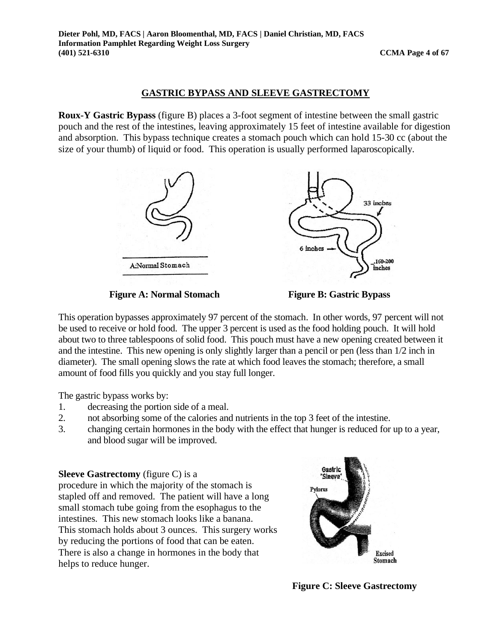#### **GASTRIC BYPASS AND SLEEVE GASTRECTOMY**

**Roux-Y Gastric Bypass** (figure B) places a 3-foot segment of intestine between the small gastric pouch and the rest of the intestines, leaving approximately 15 feet of intestine available for digestion and absorption. This bypass technique creates a stomach pouch which can hold 15-30 cc (about the size of your thumb) of liquid or food. This operation is usually performed laparoscopically.



**Figure A: Normal Stomach Figure B: Gastric Bypass** 

This operation bypasses approximately 97 percent of the stomach. In other words, 97 percent will not be used to receive or hold food. The upper 3 percent is used as the food holding pouch. It will hold about two to three tablespoons of solid food. This pouch must have a new opening created between it and the intestine. This new opening is only slightly larger than a pencil or pen (less than 1/2 inch in diameter). The small opening slows the rate at which food leaves the stomach; therefore, a small amount of food fills you quickly and you stay full longer.

The gastric bypass works by:

- 1. decreasing the portion side of a meal.
- 2. not absorbing some of the calories and nutrients in the top 3 feet of the intestine.
- 3. changing certain hormones in the body with the effect that hunger is reduced for up to a year, and blood sugar will be improved.

#### **Sleeve Gastrectomy** (figure C) is a

procedure in which the majority of the stomach is stapled off and removed. The patient will have a long small stomach tube going from the esophagus to the intestines. This new stomach looks like a banana. This stomach holds about 3 ounces. This surgery works by reducing the portions of food that can be eaten. There is also a change in hormones in the body that helps to reduce hunger.



**Figure C: Sleeve Gastrectomy**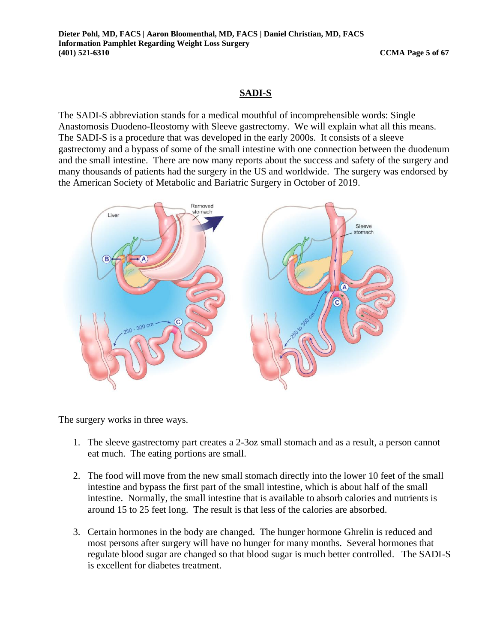#### **SADI-S**

The SADI-S abbreviation stands for a medical mouthful of incomprehensible words: Single Anastomosis Duodeno-Ileostomy with Sleeve gastrectomy. We will explain what all this means. The SADI-S is a procedure that was developed in the early 2000s. It consists of a sleeve gastrectomy and a bypass of some of the small intestine with one connection between the duodenum and the small intestine. There are now many reports about the success and safety of the surgery and many thousands of patients had the surgery in the US and worldwide. The surgery was endorsed by the American Society of Metabolic and Bariatric Surgery in October of 2019.



The surgery works in three ways.

- 1. The sleeve gastrectomy part creates a 2-3oz small stomach and as a result, a person cannot eat much. The eating portions are small.
- 2. The food will move from the new small stomach directly into the lower 10 feet of the small intestine and bypass the first part of the small intestine, which is about half of the small intestine. Normally, the small intestine that is available to absorb calories and nutrients is around 15 to 25 feet long. The result is that less of the calories are absorbed.
- 3. Certain hormones in the body are changed. The hunger hormone Ghrelin is reduced and most persons after surgery will have no hunger for many months. Several hormones that regulate blood sugar are changed so that blood sugar is much better controlled. The SADI-S is excellent for diabetes treatment.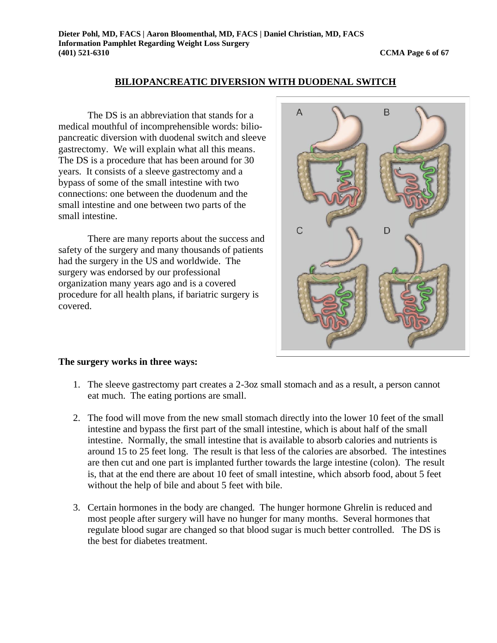#### **BILIOPANCREATIC DIVERSION WITH DUODENAL SWITCH**

The DS is an abbreviation that stands for a medical mouthful of incomprehensible words: biliopancreatic diversion with duodenal switch and sleeve gastrectomy. We will explain what all this means. The DS is a procedure that has been around for 30 years. It consists of a sleeve gastrectomy and a bypass of some of the small intestine with two connections: one between the duodenum and the small intestine and one between two parts of the small intestine.

There are many reports about the success and safety of the surgery and many thousands of patients had the surgery in the US and worldwide. The surgery was endorsed by our professional organization many years ago and is a covered procedure for all health plans, if bariatric surgery is covered.



#### **The surgery works in three ways:**

- 1. The sleeve gastrectomy part creates a 2-3oz small stomach and as a result, a person cannot eat much. The eating portions are small.
- 2. The food will move from the new small stomach directly into the lower 10 feet of the small intestine and bypass the first part of the small intestine, which is about half of the small intestine. Normally, the small intestine that is available to absorb calories and nutrients is around 15 to 25 feet long. The result is that less of the calories are absorbed. The intestines are then cut and one part is implanted further towards the large intestine (colon). The result is, that at the end there are about 10 feet of small intestine, which absorb food, about 5 feet without the help of bile and about 5 feet with bile.
- 3. Certain hormones in the body are changed. The hunger hormone Ghrelin is reduced and most people after surgery will have no hunger for many months. Several hormones that regulate blood sugar are changed so that blood sugar is much better controlled. The DS is the best for diabetes treatment.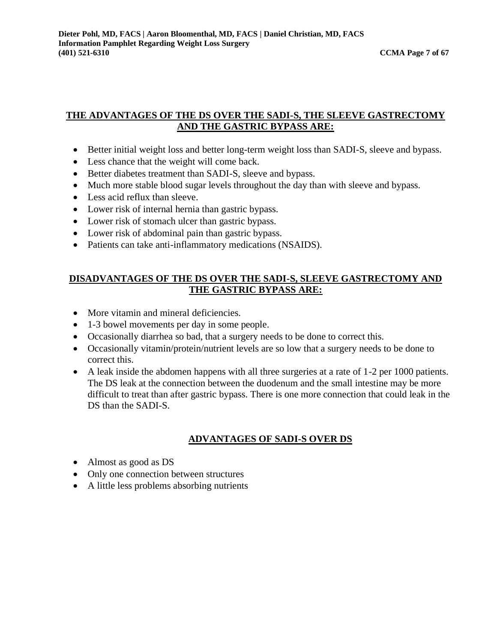#### **THE ADVANTAGES OF THE DS OVER THE SADI-S, THE SLEEVE GASTRECTOMY AND THE GASTRIC BYPASS ARE:**

- Better initial weight loss and better long-term weight loss than SADI-S, sleeve and bypass.
- Less chance that the weight will come back.
- Better diabetes treatment than SADI-S, sleeve and bypass.
- Much more stable blood sugar levels throughout the day than with sleeve and bypass.
- Less acid reflux than sleeve.
- Lower risk of internal hernia than gastric bypass.
- Lower risk of stomach ulcer than gastric bypass.
- Lower risk of abdominal pain than gastric bypass.
- Patients can take anti-inflammatory medications (NSAIDS).

#### **DISADVANTAGES OF THE DS OVER THE SADI-S, SLEEVE GASTRECTOMY AND THE GASTRIC BYPASS ARE:**

- More vitamin and mineral deficiencies.
- 1-3 bowel movements per day in some people.
- Occasionally diarrhea so bad, that a surgery needs to be done to correct this.
- Occasionally vitamin/protein/nutrient levels are so low that a surgery needs to be done to correct this.
- A leak inside the abdomen happens with all three surgeries at a rate of 1-2 per 1000 patients. The DS leak at the connection between the duodenum and the small intestine may be more difficult to treat than after gastric bypass. There is one more connection that could leak in the DS than the SADI-S.

#### **ADVANTAGES OF SADI-S OVER DS**

- Almost as good as DS
- Only one connection between structures
- A little less problems absorbing nutrients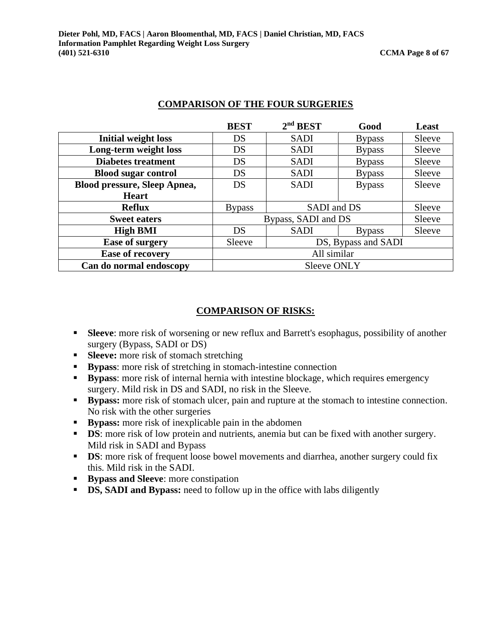|                                     | <b>BEST</b>   | 2 <sup>nd</sup> BEST | Good          | Least  |  |  |
|-------------------------------------|---------------|----------------------|---------------|--------|--|--|
| <b>Initial weight loss</b>          | DS            | <b>SADI</b>          | <b>Bypass</b> | Sleeve |  |  |
| Long-term weight loss               | DS            | <b>SADI</b>          | <b>Bypass</b> | Sleeve |  |  |
| <b>Diabetes treatment</b>           | DS            | <b>SADI</b>          | <b>Bypass</b> | Sleeve |  |  |
| <b>Blood sugar control</b>          | DS            | <b>SADI</b>          | <b>Bypass</b> | Sleeve |  |  |
| <b>Blood pressure, Sleep Apnea,</b> | DS            | <b>SADI</b>          | <b>Bypass</b> | Sleeve |  |  |
| <b>Heart</b>                        |               |                      |               |        |  |  |
| <b>Reflux</b>                       | <b>Bypass</b> | SADI and DS          |               | Sleeve |  |  |
| <b>Sweet eaters</b>                 |               | Bypass, SADI and DS  |               | Sleeve |  |  |
| <b>High BMI</b>                     | DS            | <b>SADI</b>          | <b>Bypass</b> | Sleeve |  |  |
| <b>Ease of surgery</b>              | Sleeve        | DS, Bypass and SADI  |               |        |  |  |
| <b>Ease of recovery</b>             |               | All similar          |               |        |  |  |
| Can do normal endoscopy             |               | <b>Sleeve ONLY</b>   |               |        |  |  |

#### **COMPARISON OF THE FOUR SURGERIES**

#### **COMPARISON OF RISKS:**

- **Example 1 Sleeve**: more risk of worsening or new reflux and Barrett's esophagus, possibility of another surgery (Bypass, SADI or DS)
- **Sleeve:** more risk of stomach stretching
- **Bypass:** more risk of stretching in stomach-intestine connection
- **Bypass:** more risk of internal hernia with intestine blockage, which requires emergency surgery. Mild risk in DS and SADI, no risk in the Sleeve.
- **Bypass:** more risk of stomach ulcer, pain and rupture at the stomach to intestine connection. No risk with the other surgeries
- **Bypass:** more risk of inexplicable pain in the abdomen
- **DS**: more risk of low protein and nutrients, anemia but can be fixed with another surgery. Mild risk in SADI and Bypass
- **DS**: more risk of frequent loose bowel movements and diarrhea, another surgery could fix this. Mild risk in the SADI.
- **Bypass and Sleeve**: more constipation
- **DS, SADI and Bypass:** need to follow up in the office with labs diligently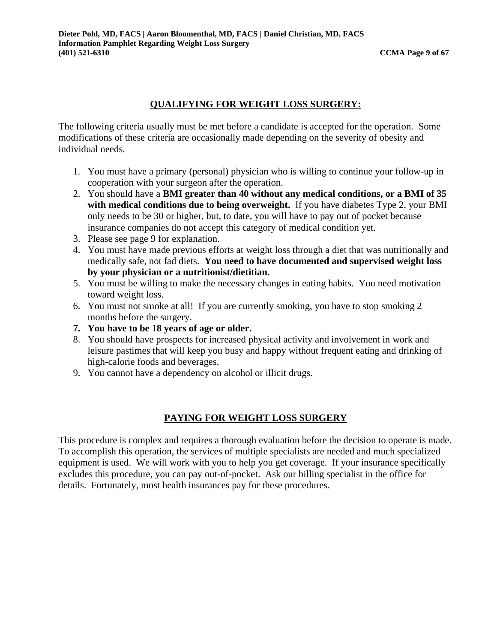### **QUALIFYING FOR WEIGHT LOSS SURGERY:**

The following criteria usually must be met before a candidate is accepted for the operation. Some modifications of these criteria are occasionally made depending on the severity of obesity and individual needs.

- 1. You must have a primary (personal) physician who is willing to continue your follow-up in cooperation with your surgeon after the operation.
- 2. You should have a **BMI greater than 40 without any medical conditions, or a BMI of 35 with medical conditions due to being overweight.** If you have diabetes Type 2, your BMI only needs to be 30 or higher, but, to date, you will have to pay out of pocket because insurance companies do not accept this category of medical condition yet.
- 3. Please see page 9 for explanation.
- 4. You must have made previous efforts at weight loss through a diet that was nutritionally and medically safe, not fad diets. **You need to have documented and supervised weight loss by your physician or a nutritionist/dietitian.**
- 5. You must be willing to make the necessary changes in eating habits. You need motivation toward weight loss.
- 6. You must not smoke at all! If you are currently smoking, you have to stop smoking 2 months before the surgery.
- **7. You have to be 18 years of age or older.**
- 8. You should have prospects for increased physical activity and involvement in work and leisure pastimes that will keep you busy and happy without frequent eating and drinking of high-calorie foods and beverages.
- 9. You cannot have a dependency on alcohol or illicit drugs.

#### **PAYING FOR WEIGHT LOSS SURGERY**

This procedure is complex and requires a thorough evaluation before the decision to operate is made. To accomplish this operation, the services of multiple specialists are needed and much specialized equipment is used. We will work with you to help you get coverage. If your insurance specifically excludes this procedure, you can pay out-of-pocket. Ask our billing specialist in the office for details. Fortunately, most health insurances pay for these procedures.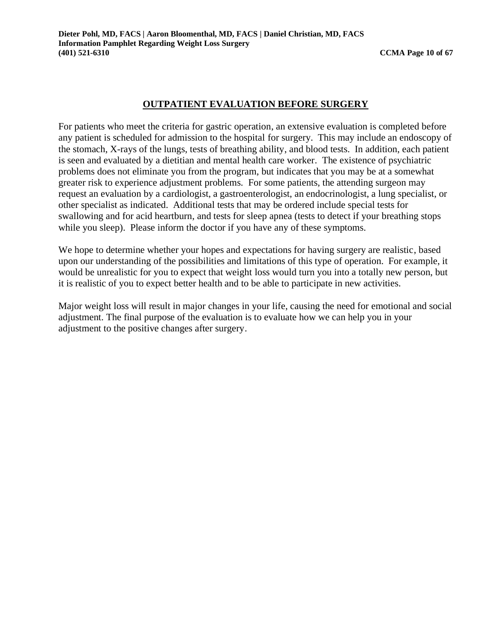#### **OUTPATIENT EVALUATION BEFORE SURGERY**

For patients who meet the criteria for gastric operation, an extensive evaluation is completed before any patient is scheduled for admission to the hospital for surgery. This may include an endoscopy of the stomach, X-rays of the lungs, tests of breathing ability, and blood tests. In addition, each patient is seen and evaluated by a dietitian and mental health care worker. The existence of psychiatric problems does not eliminate you from the program, but indicates that you may be at a somewhat greater risk to experience adjustment problems. For some patients, the attending surgeon may request an evaluation by a cardiologist, a gastroenterologist, an endocrinologist, a lung specialist, or other specialist as indicated. Additional tests that may be ordered include special tests for swallowing and for acid heartburn, and tests for sleep apnea (tests to detect if your breathing stops while you sleep). Please inform the doctor if you have any of these symptoms.

We hope to determine whether your hopes and expectations for having surgery are realistic, based upon our understanding of the possibilities and limitations of this type of operation. For example, it would be unrealistic for you to expect that weight loss would turn you into a totally new person, but it is realistic of you to expect better health and to be able to participate in new activities.

Major weight loss will result in major changes in your life, causing the need for emotional and social adjustment. The final purpose of the evaluation is to evaluate how we can help you in your adjustment to the positive changes after surgery.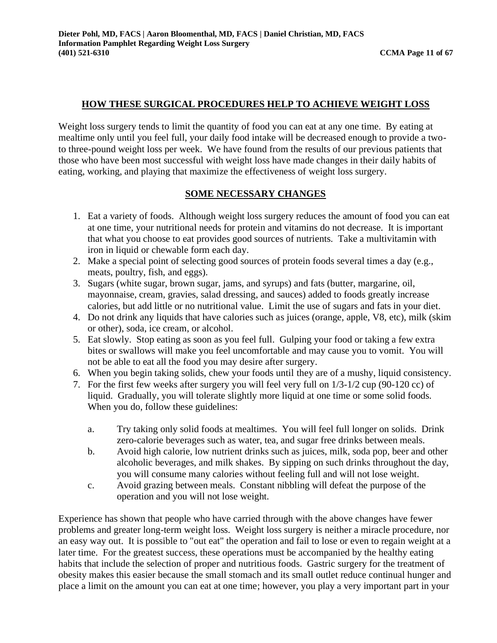#### **HOW THESE SURGICAL PROCEDURES HELP TO ACHIEVE WEIGHT LOSS**

Weight loss surgery tends to limit the quantity of food you can eat at any one time. By eating at mealtime only until you feel full, your daily food intake will be decreased enough to provide a twoto three-pound weight loss per week. We have found from the results of our previous patients that those who have been most successful with weight loss have made changes in their daily habits of eating, working, and playing that maximize the effectiveness of weight loss surgery.

#### **SOME NECESSARY CHANGES**

- 1. Eat a variety of foods. Although weight loss surgery reduces the amount of food you can eat at one time, your nutritional needs for protein and vitamins do not decrease. It is important that what you choose to eat provides good sources of nutrients. Take a multivitamin with iron in liquid or chewable form each day.
- 2. Make a special point of selecting good sources of protein foods several times a day (e.g., meats, poultry, fish, and eggs).
- 3. Sugars (white sugar, brown sugar, jams, and syrups) and fats (butter, margarine, oil, mayonnaise, cream, gravies, salad dressing, and sauces) added to foods greatly increase calories, but add little or no nutritional value. Limit the use of sugars and fats in your diet.
- 4. Do not drink any liquids that have calories such as juices (orange, apple, V8, etc), milk (skim or other), soda, ice cream, or alcohol.
- 5. Eat slowly. Stop eating as soon as you feel full. Gulping your food or taking a few extra bites or swallows will make you feel uncomfortable and may cause you to vomit. You will not be able to eat all the food you may desire after surgery.
- 6. When you begin taking solids, chew your foods until they are of a mushy, liquid consistency.
- 7. For the first few weeks after surgery you will feel very full on 1/3-1/2 cup (90-120 cc) of liquid. Gradually, you will tolerate slightly more liquid at one time or some solid foods. When you do, follow these guidelines:
	- a. Try taking only solid foods at mealtimes. You will feel full longer on solids. Drink zero-calorie beverages such as water, tea, and sugar free drinks between meals.
	- b. Avoid high calorie, low nutrient drinks such as juices, milk, soda pop, beer and other alcoholic beverages, and milk shakes. By sipping on such drinks throughout the day, you will consume many calories without feeling full and will not lose weight.
	- c. Avoid grazing between meals. Constant nibbling will defeat the purpose of the operation and you will not lose weight.

Experience has shown that people who have carried through with the above changes have fewer problems and greater long-term weight loss. Weight loss surgery is neither a miracle procedure, nor an easy way out. It is possible to "out eat" the operation and fail to lose or even to regain weight at a later time. For the greatest success, these operations must be accompanied by the healthy eating habits that include the selection of proper and nutritious foods. Gastric surgery for the treatment of obesity makes this easier because the small stomach and its small outlet reduce continual hunger and place a limit on the amount you can eat at one time; however, you play a very important part in your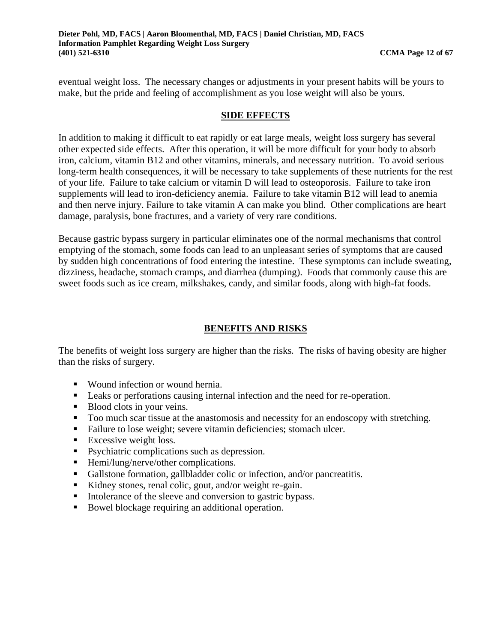eventual weight loss. The necessary changes or adjustments in your present habits will be yours to make, but the pride and feeling of accomplishment as you lose weight will also be yours.

#### **SIDE EFFECTS**

In addition to making it difficult to eat rapidly or eat large meals, weight loss surgery has several other expected side effects. After this operation, it will be more difficult for your body to absorb iron, calcium, vitamin B12 and other vitamins, minerals, and necessary nutrition. To avoid serious long-term health consequences, it will be necessary to take supplements of these nutrients for the rest of your life. Failure to take calcium or vitamin D will lead to osteoporosis. Failure to take iron supplements will lead to iron-deficiency anemia. Failure to take vitamin B12 will lead to anemia and then nerve injury. Failure to take vitamin A can make you blind. Other complications are heart damage, paralysis, bone fractures, and a variety of very rare conditions.

Because gastric bypass surgery in particular eliminates one of the normal mechanisms that control emptying of the stomach, some foods can lead to an unpleasant series of symptoms that are caused by sudden high concentrations of food entering the intestine. These symptoms can include sweating, dizziness, headache, stomach cramps, and diarrhea (dumping). Foods that commonly cause this are sweet foods such as ice cream, milkshakes, candy, and similar foods, along with high-fat foods.

#### **BENEFITS AND RISKS**

The benefits of weight loss surgery are higher than the risks. The risks of having obesity are higher than the risks of surgery.

- Wound infection or wound hernia.
- Leaks or perforations causing internal infection and the need for re-operation.
- Blood clots in your veins.
- Too much scar tissue at the anastomosis and necessity for an endoscopy with stretching.
- Failure to lose weight; severe vitamin deficiencies; stomach ulcer.
- $\blacksquare$  Excessive weight loss.
- Psychiatric complications such as depression.
- Hemi/lung/nerve/other complications.
- Gallstone formation, gallbladder colic or infection, and/or pancreatitis.
- Kidney stones, renal colic, gout, and/or weight re-gain.
- Intolerance of the sleeve and conversion to gastric bypass.
- Bowel blockage requiring an additional operation.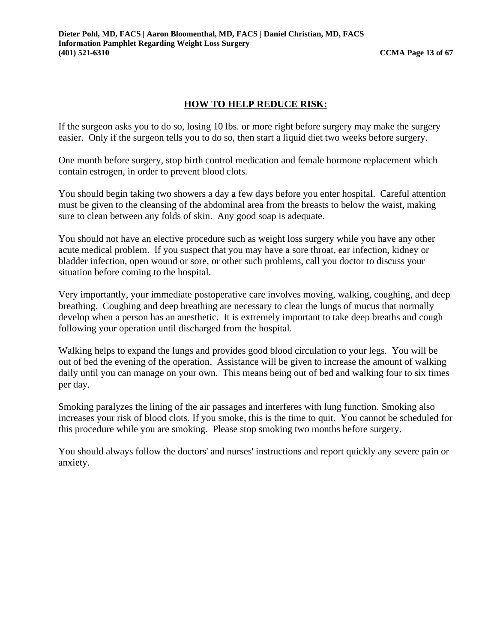#### **HOW TO HELP REDUCE RISK:**

If the surgeon asks you to do so, losing 10 lbs. or more right before surgery may make the surgery easier. Only if the surgeon tells you to do so, then start a liquid diet two weeks before surgery.

One month before surgery, stop birth control medication and female hormone replacement which contain estrogen, in order to prevent blood clots.

You should begin taking two showers a day a few days before you enter hospital. Careful attention must be given to the cleansing of the abdominal area from the breasts to below the waist, making sure to clean between any folds of skin. Any good soap is adequate.

You should not have an elective procedure such as weight loss surgery while you have any other acute medical problem. If you suspect that you may have a sore throat, ear infection, kidney or bladder infection, open wound or sore, or other such problems, call you doctor to discuss your situation before coming to the hospital.

Very importantly, your immediate postoperative care involves moving, walking, coughing, and deep breathing. Coughing and deep breathing are necessary to clear the lungs of mucus that normally develop when a person has an anesthetic. It is extremely important to take deep breaths and cough following your operation until discharged from the hospital.

Walking helps to expand the lungs and provides good blood circulation to your legs. You will be out of bed the evening of the operation. Assistance will be given to increase the amount of walking daily until you can manage on your own. This means being out of bed and walking four to six times per day.

Smoking paralyzes the lining of the air passages and interferes with lung function. Smoking also increases your risk of blood clots. If you smoke, this is the time to quit. You cannot be scheduled for this procedure while you are smoking. Please stop smoking two months before surgery.

You should always follow the doctors' and nurses' instructions and report quickly any severe pain or anxiety.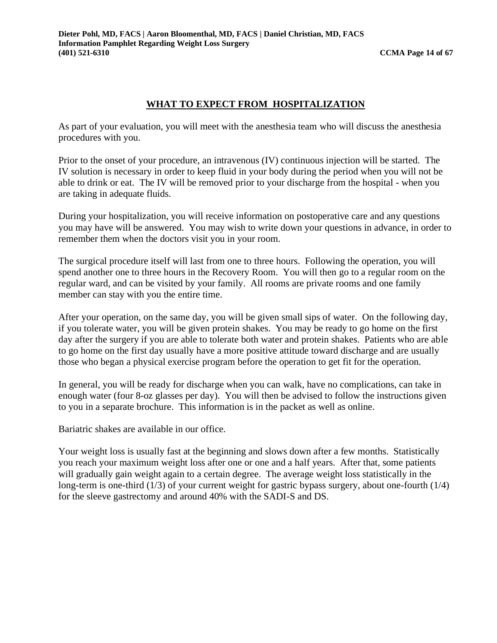#### **WHAT TO EXPECT FROM HOSPITALIZATION**

As part of your evaluation, you will meet with the anesthesia team who will discuss the anesthesia procedures with you.

Prior to the onset of your procedure, an intravenous (IV) continuous injection will be started. The IV solution is necessary in order to keep fluid in your body during the period when you will not be able to drink or eat. The IV will be removed prior to your discharge from the hospital - when you are taking in adequate fluids.

During your hospitalization, you will receive information on postoperative care and any questions you may have will be answered. You may wish to write down your questions in advance, in order to remember them when the doctors visit you in your room.

The surgical procedure itself will last from one to three hours. Following the operation, you will spend another one to three hours in the Recovery Room. You will then go to a regular room on the regular ward, and can be visited by your family. All rooms are private rooms and one family member can stay with you the entire time.

After your operation, on the same day, you will be given small sips of water. On the following day, if you tolerate water, you will be given protein shakes. You may be ready to go home on the first day after the surgery if you are able to tolerate both water and protein shakes. Patients who are able to go home on the first day usually have a more positive attitude toward discharge and are usually those who began a physical exercise program before the operation to get fit for the operation.

In general, you will be ready for discharge when you can walk, have no complications, can take in enough water (four 8-oz glasses per day). You will then be advised to follow the instructions given to you in a separate brochure. This information is in the packet as well as online.

Bariatric shakes are available in our office.

Your weight loss is usually fast at the beginning and slows down after a few months. Statistically you reach your maximum weight loss after one or one and a half years. After that, some patients will gradually gain weight again to a certain degree. The average weight loss statistically in the long-term is one-third (1/3) of your current weight for gastric bypass surgery, about one-fourth (1/4) for the sleeve gastrectomy and around 40% with the SADI-S and DS.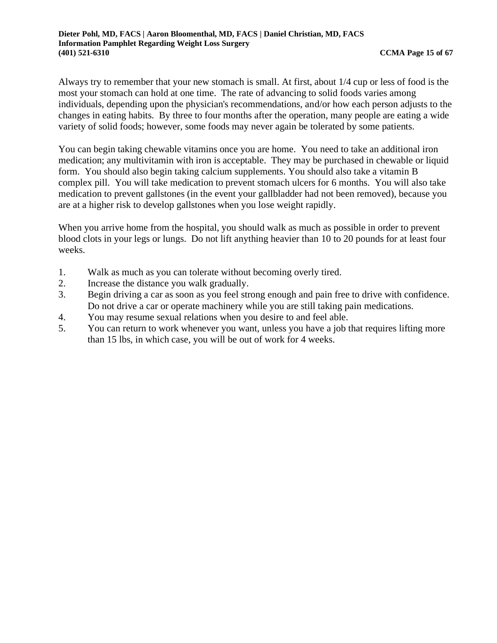Always try to remember that your new stomach is small. At first, about 1/4 cup or less of food is the most your stomach can hold at one time. The rate of advancing to solid foods varies among individuals, depending upon the physician's recommendations, and/or how each person adjusts to the changes in eating habits. By three to four months after the operation, many people are eating a wide variety of solid foods; however, some foods may never again be tolerated by some patients.

You can begin taking chewable vitamins once you are home. You need to take an additional iron medication; any multivitamin with iron is acceptable. They may be purchased in chewable or liquid form. You should also begin taking calcium supplements. You should also take a vitamin B complex pill. You will take medication to prevent stomach ulcers for 6 months. You will also take medication to prevent gallstones (in the event your gallbladder had not been removed), because you are at a higher risk to develop gallstones when you lose weight rapidly.

When you arrive home from the hospital, you should walk as much as possible in order to prevent blood clots in your legs or lungs. Do not lift anything heavier than 10 to 20 pounds for at least four weeks.

- 1. Walk as much as you can tolerate without becoming overly tired.
- 2. Increase the distance you walk gradually.
- 3. Begin driving a car as soon as you feel strong enough and pain free to drive with confidence. Do not drive a car or operate machinery while you are still taking pain medications.
- 4. You may resume sexual relations when you desire to and feel able.
- 5. You can return to work whenever you want, unless you have a job that requires lifting more than 15 lbs, in which case, you will be out of work for 4 weeks.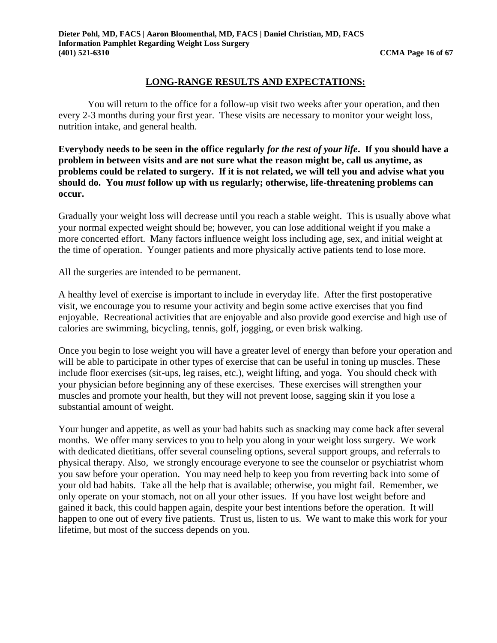#### **LONG-RANGE RESULTS AND EXPECTATIONS:**

You will return to the office for a follow-up visit two weeks after your operation, and then every 2-3 months during your first year. These visits are necessary to monitor your weight loss, nutrition intake, and general health.

**Everybody needs to be seen in the office regularly** *for the rest of your life***. If you should have a problem in between visits and are not sure what the reason might be, call us anytime, as problems could be related to surgery. If it is not related, we will tell you and advise what you should do. You** *must* **follow up with us regularly; otherwise, life-threatening problems can occur.** 

Gradually your weight loss will decrease until you reach a stable weight. This is usually above what your normal expected weight should be; however, you can lose additional weight if you make a more concerted effort. Many factors influence weight loss including age, sex, and initial weight at the time of operation. Younger patients and more physically active patients tend to lose more.

All the surgeries are intended to be permanent.

A healthy level of exercise is important to include in everyday life. After the first postoperative visit, we encourage you to resume your activity and begin some active exercises that you find enjoyable. Recreational activities that are enjoyable and also provide good exercise and high use of calories are swimming, bicycling, tennis, golf, jogging, or even brisk walking.

Once you begin to lose weight you will have a greater level of energy than before your operation and will be able to participate in other types of exercise that can be useful in toning up muscles. These include floor exercises (sit-ups, leg raises, etc.), weight lifting, and yoga. You should check with your physician before beginning any of these exercises. These exercises will strengthen your muscles and promote your health, but they will not prevent loose, sagging skin if you lose a substantial amount of weight.

Your hunger and appetite, as well as your bad habits such as snacking may come back after several months. We offer many services to you to help you along in your weight loss surgery. We work with dedicated dietitians, offer several counseling options, several support groups, and referrals to physical therapy. Also, we strongly encourage everyone to see the counselor or psychiatrist whom you saw before your operation. You may need help to keep you from reverting back into some of your old bad habits. Take all the help that is available; otherwise, you might fail. Remember, we only operate on your stomach, not on all your other issues. If you have lost weight before and gained it back, this could happen again, despite your best intentions before the operation. It will happen to one out of every five patients. Trust us, listen to us. We want to make this work for your lifetime, but most of the success depends on you.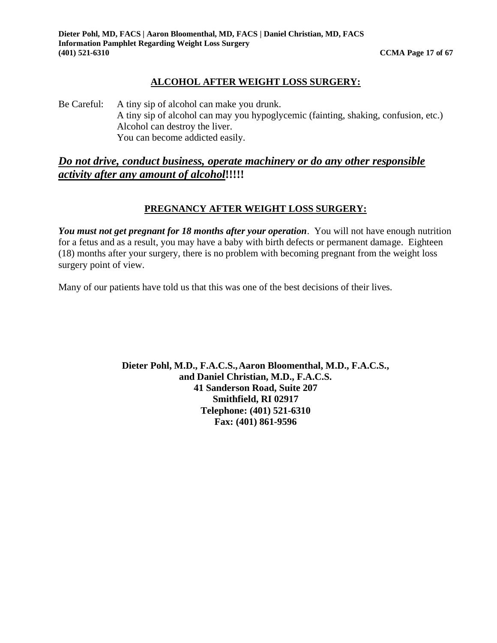#### **ALCOHOL AFTER WEIGHT LOSS SURGERY:**

Be Careful: A tiny sip of alcohol can make you drunk. A tiny sip of alcohol can may you hypoglycemic (fainting, shaking, confusion, etc.) Alcohol can destroy the liver. You can become addicted easily.

#### *Do not drive, conduct business, operate machinery or do any other responsible activity after any amount of alcohol***!!!!!**

#### **PREGNANCY AFTER WEIGHT LOSS SURGERY:**

*You must not get pregnant for 18 months after your operation*. You will not have enough nutrition for a fetus and as a result, you may have a baby with birth defects or permanent damage. Eighteen (18) months after your surgery, there is no problem with becoming pregnant from the weight loss surgery point of view.

Many of our patients have told us that this was one of the best decisions of their lives.

**Dieter Pohl, M.D., F.A.C.S.,Aaron Bloomenthal, M.D., F.A.C.S., and Daniel Christian, M.D., F.A.C.S. 41 Sanderson Road, Suite 207 Smithfield, RI 02917 Telephone: (401) 521-6310 Fax: (401) 861-9596**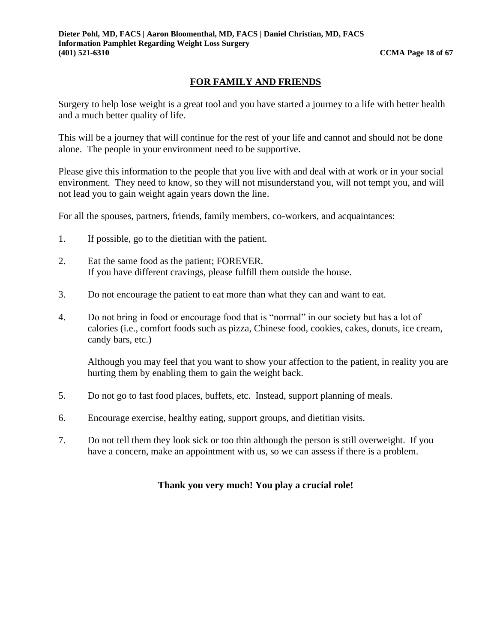#### **FOR FAMILY AND FRIENDS**

Surgery to help lose weight is a great tool and you have started a journey to a life with better health and a much better quality of life.

This will be a journey that will continue for the rest of your life and cannot and should not be done alone. The people in your environment need to be supportive.

Please give this information to the people that you live with and deal with at work or in your social environment. They need to know, so they will not misunderstand you, will not tempt you, and will not lead you to gain weight again years down the line.

For all the spouses, partners, friends, family members, co-workers, and acquaintances:

- 1. If possible, go to the dietitian with the patient.
- 2. Eat the same food as the patient; FOREVER. If you have different cravings, please fulfill them outside the house.
- 3. Do not encourage the patient to eat more than what they can and want to eat.
- 4. Do not bring in food or encourage food that is "normal" in our society but has a lot of calories (i.e., comfort foods such as pizza, Chinese food, cookies, cakes, donuts, ice cream, candy bars, etc.)

Although you may feel that you want to show your affection to the patient, in reality you are hurting them by enabling them to gain the weight back.

- 5. Do not go to fast food places, buffets, etc. Instead, support planning of meals.
- 6. Encourage exercise, healthy eating, support groups, and dietitian visits.
- 7. Do not tell them they look sick or too thin although the person is still overweight. If you have a concern, make an appointment with us, so we can assess if there is a problem.

#### **Thank you very much! You play a crucial role!**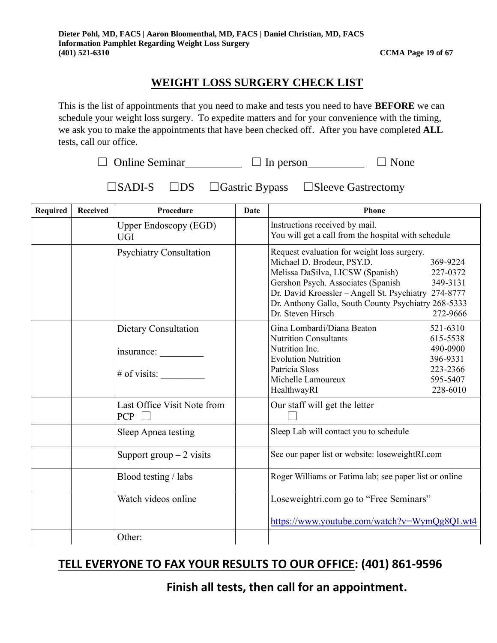# **WEIGHT LOSS SURGERY CHECK LIST**

This is the list of appointments that you need to make and tests you need to have **BEFORE** we can schedule your weight loss surgery. To expedite matters and for your convenience with the timing, we ask you to make the appointments that have been checked off. After you have completed **ALL** tests, call our office.

 $\Box$  Online Seminar\_\_\_\_\_\_\_\_\_\_  $\Box$  In person\_\_\_\_\_\_\_\_\_\_  $\Box$  None

☐SADI-S ☐DS ☐Gastric Bypass ☐Sleeve Gastrectomy

| <b>Required</b> | Received | Procedure                                            | <b>Date</b> | <b>Phone</b>                                                                                                                                                                                                                                                                            |                                                                                  |  |
|-----------------|----------|------------------------------------------------------|-------------|-----------------------------------------------------------------------------------------------------------------------------------------------------------------------------------------------------------------------------------------------------------------------------------------|----------------------------------------------------------------------------------|--|
|                 |          | <b>Upper Endoscopy (EGD)</b><br><b>UGI</b>           |             | Instructions received by mail.<br>You will get a call from the hospital with schedule                                                                                                                                                                                                   |                                                                                  |  |
|                 |          | <b>Psychiatry Consultation</b>                       |             | Request evaluation for weight loss surgery.<br>Michael D. Brodeur, PSY.D.<br>Melissa DaSilva, LICSW (Spanish)<br>Gershon Psych. Associates (Spanish<br>Dr. David Kroessler - Angell St. Psychiatry 274-8777<br>Dr. Anthony Gallo, South County Psychiatry 268-5333<br>Dr. Steven Hirsch | 369-9224<br>227-0372<br>349-3131<br>272-9666                                     |  |
|                 |          | Dietary Consultation<br>insurance:<br>$#$ of visits: |             | Gina Lombardi/Diana Beaton<br><b>Nutrition Consultants</b><br>Nutrition Inc.<br><b>Evolution Nutrition</b><br>Patricia Sloss<br>Michelle Lamoureux<br>HealthwayRI                                                                                                                       | 521-6310<br>615-5538<br>490-0900<br>396-9331<br>223-2366<br>595-5407<br>228-6010 |  |
|                 |          | Last Office Visit Note from<br><b>PCP</b>            |             | Our staff will get the letter                                                                                                                                                                                                                                                           |                                                                                  |  |
|                 |          | Sleep Apnea testing                                  |             | Sleep Lab will contact you to schedule                                                                                                                                                                                                                                                  |                                                                                  |  |
|                 |          | Support group $-2$ visits                            |             | See our paper list or website: loseweightRI.com                                                                                                                                                                                                                                         |                                                                                  |  |
|                 |          | Blood testing / labs                                 |             | Roger Williams or Fatima lab; see paper list or online                                                                                                                                                                                                                                  |                                                                                  |  |
|                 |          | Watch videos online                                  |             | Loseweightri.com go to "Free Seminars"<br>https://www.youtube.com/watch?v=WymQg8QLwt4                                                                                                                                                                                                   |                                                                                  |  |
|                 |          | Other:                                               |             |                                                                                                                                                                                                                                                                                         |                                                                                  |  |

# **TELL EVERYONE TO FAX YOUR RESULTS TO OUR OFFICE: (401) 861-9596**

 **Finish all tests, then call for an appointment.**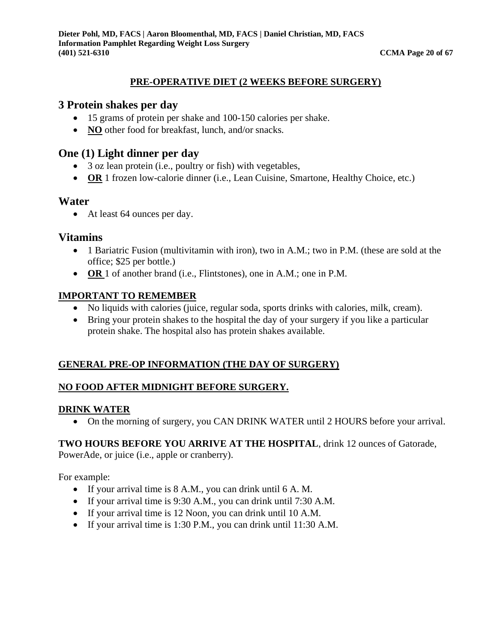#### **PRE-OPERATIVE DIET (2 WEEKS BEFORE SURGERY)**

#### **3 Protein shakes per day**

- 15 grams of protein per shake and 100-150 calories per shake.
- **NO** other food for breakfast, lunch, and/or snacks.

# **One (1) Light dinner per day**

- 3 oz lean protein (i.e., poultry or fish) with vegetables,
- **OR** 1 frozen low-calorie dinner (i.e., Lean Cuisine, Smartone, Healthy Choice, etc.)

#### **Water**

• At least 64 ounces per day.

#### **Vitamins**

- 1 Bariatric Fusion (multivitamin with iron), two in A.M.; two in P.M. (these are sold at the office; \$25 per bottle.)
- **OR** 1 of another brand (i.e., Flintstones), one in A.M.; one in P.M.

#### **IMPORTANT TO REMEMBER**

- No liquids with calories (juice, regular soda, sports drinks with calories, milk, cream).
- Bring your protein shakes to the hospital the day of your surgery if you like a particular protein shake. The hospital also has protein shakes available.

#### **GENERAL PRE-OP INFORMATION (THE DAY OF SURGERY)**

#### **NO FOOD AFTER MIDNIGHT BEFORE SURGERY.**

#### **DRINK WATER**

• On the morning of surgery, you CAN DRINK WATER until 2 HOURS before your arrival.

#### **TWO HOURS BEFORE YOU ARRIVE AT THE HOSPITAL**, drink 12 ounces of Gatorade,

PowerAde, or juice (i.e., apple or cranberry).

For example:

- If your arrival time is 8 A.M., you can drink until 6 A. M.
- If your arrival time is 9:30 A.M., you can drink until 7:30 A.M.
- If your arrival time is 12 Noon, you can drink until 10 A.M.
- If your arrival time is 1:30 P.M., you can drink until 11:30 A.M.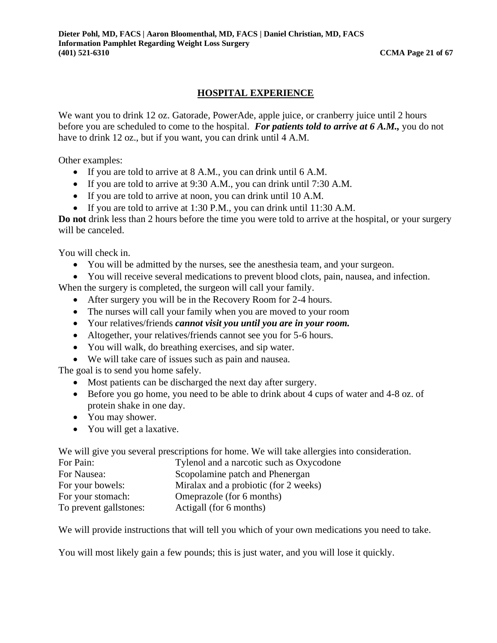#### **HOSPITAL EXPERIENCE**

We want you to drink 12 oz. Gatorade, PowerAde, apple juice, or cranberry juice until 2 hours before you are scheduled to come to the hospital. *For patients told to arrive at 6 A.M.,* you do not have to drink 12 oz., but if you want, you can drink until 4 A.M.

Other examples:

- If you are told to arrive at 8 A.M., you can drink until 6 A.M.
- If you are told to arrive at 9:30 A.M., you can drink until 7:30 A.M.
- If you are told to arrive at noon, you can drink until 10 A.M.
- If you are told to arrive at 1:30 P.M., you can drink until 11:30 A.M.

**Do not** drink less than 2 hours before the time you were told to arrive at the hospital, or your surgery will be canceled.

You will check in.

- You will be admitted by the nurses, see the anesthesia team, and your surgeon.
- You will receive several medications to prevent blood clots, pain, nausea, and infection.

When the surgery is completed, the surgeon will call your family.

- After surgery you will be in the Recovery Room for 2-4 hours.
- The nurses will call your family when you are moved to your room
- Your relatives/friends *cannot visit you until you are in your room.*
- Altogether, your relatives/friends cannot see you for 5-6 hours.
- You will walk, do breathing exercises, and sip water.
- We will take care of issues such as pain and nausea.

The goal is to send you home safely.

- Most patients can be discharged the next day after surgery.
- Before you go home, you need to be able to drink about 4 cups of water and 4-8 oz. of protein shake in one day.
- You may shower.
- You will get a laxative.

We will give you several prescriptions for home. We will take allergies into consideration.

| For Pain:              | Tylenol and a narcotic such as Oxycodone |
|------------------------|------------------------------------------|
| For Nausea:            | Scopolamine patch and Phenergan          |
| For your bowels:       | Miralax and a probiotic (for 2 weeks)    |
| For your stomach:      | Omeprazole (for 6 months)                |
| To prevent gallstones: | Actigall (for 6 months)                  |

We will provide instructions that will tell you which of your own medications you need to take.

You will most likely gain a few pounds; this is just water, and you will lose it quickly.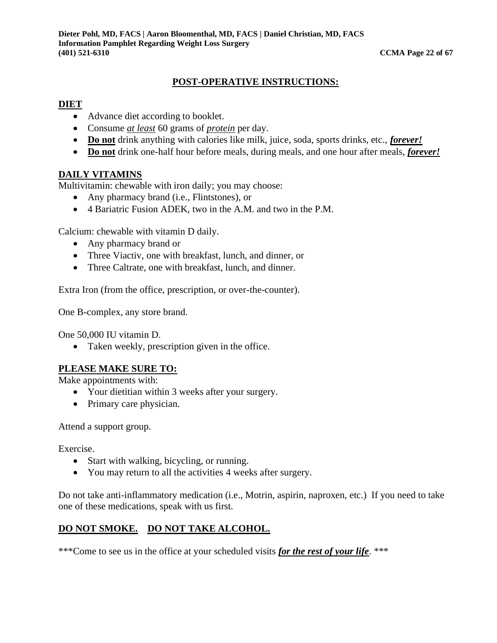#### **POST-OPERATIVE INSTRUCTIONS:**

#### **DIET**

- Advance diet according to booklet.
- Consume *at least* 60 grams of *protein* per day.
- **Do not** drink anything with calories like milk, juice, soda, sports drinks, etc., *forever!*
- **Do not** drink one-half hour before meals, during meals, and one hour after meals, *forever!*

#### **DAILY VITAMINS**

Multivitamin: chewable with iron daily; you may choose:

- Any pharmacy brand (i.e., Flintstones), or
- 4 Bariatric Fusion ADEK, two in the A.M. and two in the P.M.

Calcium: chewable with vitamin D daily.

- Any pharmacy brand or
- Three Viactiv, one with breakfast, lunch, and dinner, or
- Three Caltrate, one with breakfast, lunch, and dinner.

Extra Iron (from the office, prescription, or over-the-counter).

One B-complex, any store brand.

One 50,000 IU vitamin D.

• Taken weekly, prescription given in the office.

#### **PLEASE MAKE SURE TO:**

Make appointments with:

- Your dietitian within 3 weeks after your surgery.
- Primary care physician.

Attend a support group.

Exercise.

- Start with walking, bicycling, or running.
- You may return to all the activities 4 weeks after surgery.

Do not take anti-inflammatory medication (i.e., Motrin, aspirin, naproxen, etc.) If you need to take one of these medications, speak with us first.

# **DO NOT SMOKE. DO NOT TAKE ALCOHOL.**

\*\*\*Come to see us in the office at your scheduled visits *for the rest of your life*. \*\*\*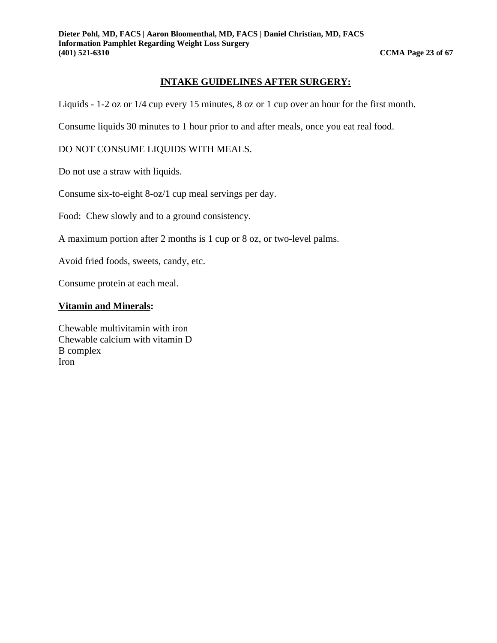#### **INTAKE GUIDELINES AFTER SURGERY:**

Liquids - 1-2 oz or 1/4 cup every 15 minutes, 8 oz or 1 cup over an hour for the first month.

Consume liquids 30 minutes to 1 hour prior to and after meals, once you eat real food.

DO NOT CONSUME LIQUIDS WITH MEALS.

Do not use a straw with liquids.

Consume six-to-eight 8-oz/1 cup meal servings per day.

Food: Chew slowly and to a ground consistency.

A maximum portion after 2 months is 1 cup or 8 oz, or two-level palms.

Avoid fried foods, sweets, candy, etc.

Consume protein at each meal.

#### **Vitamin and Minerals:**

Chewable multivitamin with iron Chewable calcium with vitamin D B complex Iron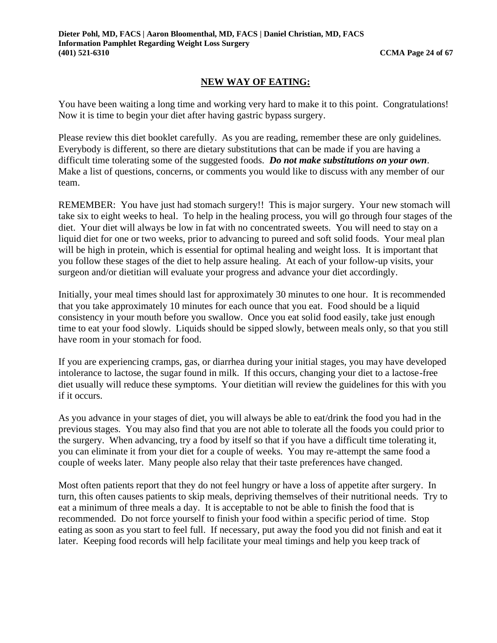#### **NEW WAY OF EATING:**

You have been waiting a long time and working very hard to make it to this point. Congratulations! Now it is time to begin your diet after having gastric bypass surgery.

Please review this diet booklet carefully. As you are reading, remember these are only guidelines. Everybody is different, so there are dietary substitutions that can be made if you are having a difficult time tolerating some of the suggested foods. *Do not make substitutions on your own*. Make a list of questions, concerns, or comments you would like to discuss with any member of our team.

REMEMBER: You have just had stomach surgery!! This is major surgery. Your new stomach will take six to eight weeks to heal. To help in the healing process, you will go through four stages of the diet. Your diet will always be low in fat with no concentrated sweets. You will need to stay on a liquid diet for one or two weeks, prior to advancing to pureed and soft solid foods. Your meal plan will be high in protein, which is essential for optimal healing and weight loss. It is important that you follow these stages of the diet to help assure healing. At each of your follow-up visits, your surgeon and/or dietitian will evaluate your progress and advance your diet accordingly.

Initially, your meal times should last for approximately 30 minutes to one hour. It is recommended that you take approximately 10 minutes for each ounce that you eat. Food should be a liquid consistency in your mouth before you swallow. Once you eat solid food easily, take just enough time to eat your food slowly. Liquids should be sipped slowly, between meals only, so that you still have room in your stomach for food.

If you are experiencing cramps, gas, or diarrhea during your initial stages, you may have developed intolerance to lactose, the sugar found in milk. If this occurs, changing your diet to a lactose-free diet usually will reduce these symptoms. Your dietitian will review the guidelines for this with you if it occurs.

As you advance in your stages of diet, you will always be able to eat/drink the food you had in the previous stages. You may also find that you are not able to tolerate all the foods you could prior to the surgery. When advancing, try a food by itself so that if you have a difficult time tolerating it, you can eliminate it from your diet for a couple of weeks. You may re-attempt the same food a couple of weeks later. Many people also relay that their taste preferences have changed.

Most often patients report that they do not feel hungry or have a loss of appetite after surgery. In turn, this often causes patients to skip meals, depriving themselves of their nutritional needs. Try to eat a minimum of three meals a day. It is acceptable to not be able to finish the food that is recommended. Do not force yourself to finish your food within a specific period of time. Stop eating as soon as you start to feel full. If necessary, put away the food you did not finish and eat it later. Keeping food records will help facilitate your meal timings and help you keep track of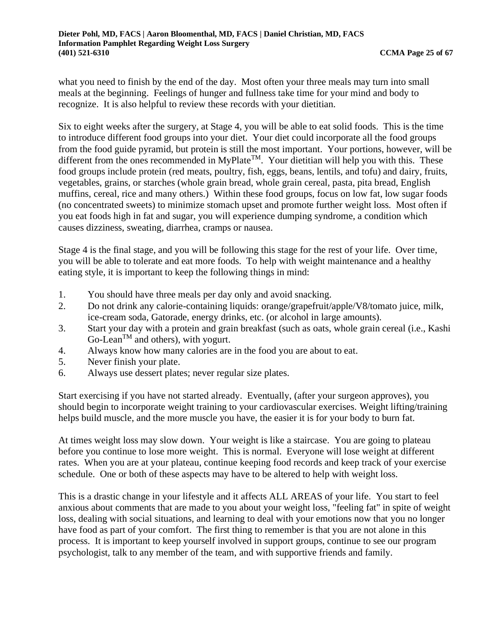what you need to finish by the end of the day. Most often your three meals may turn into small meals at the beginning. Feelings of hunger and fullness take time for your mind and body to recognize. It is also helpful to review these records with your dietitian.

Six to eight weeks after the surgery, at Stage 4, you will be able to eat solid foods. This is the time to introduce different food groups into your diet. Your diet could incorporate all the food groups from the food guide pyramid, but protein is still the most important. Your portions, however, will be different from the ones recommended in MyPlate<sup>TM</sup>. Your dietitian will help you with this. These food groups include protein (red meats, poultry, fish, eggs, beans, lentils, and tofu) and dairy, fruits, vegetables, grains, or starches (whole grain bread, whole grain cereal, pasta, pita bread, English muffins, cereal, rice and many others.) Within these food groups, focus on low fat, low sugar foods (no concentrated sweets) to minimize stomach upset and promote further weight loss. Most often if you eat foods high in fat and sugar, you will experience dumping syndrome, a condition which causes dizziness, sweating, diarrhea, cramps or nausea.

Stage 4 is the final stage, and you will be following this stage for the rest of your life. Over time, you will be able to tolerate and eat more foods. To help with weight maintenance and a healthy eating style, it is important to keep the following things in mind:

- 1. You should have three meals per day only and avoid snacking.
- 2. Do not drink any calorie-containing liquids: orange/grapefruit/apple/V8/tomato juice, milk, ice-cream soda, Gatorade, energy drinks, etc. (or alcohol in large amounts).
- 3. Start your day with a protein and grain breakfast (such as oats, whole grain cereal (i.e., Kashi  $Go-Lean^{TM}$  and others), with yogurt.
- 4. Always know how many calories are in the food you are about to eat.
- 5. Never finish your plate.
- 6. Always use dessert plates; never regular size plates.

Start exercising if you have not started already. Eventually, (after your surgeon approves), you should begin to incorporate weight training to your cardiovascular exercises. Weight lifting/training helps build muscle, and the more muscle you have, the easier it is for your body to burn fat.

At times weight loss may slow down. Your weight is like a staircase. You are going to plateau before you continue to lose more weight. This is normal. Everyone will lose weight at different rates. When you are at your plateau, continue keeping food records and keep track of your exercise schedule. One or both of these aspects may have to be altered to help with weight loss.

This is a drastic change in your lifestyle and it affects ALL AREAS of your life. You start to feel anxious about comments that are made to you about your weight loss, "feeling fat" in spite of weight loss, dealing with social situations, and learning to deal with your emotions now that you no longer have food as part of your comfort. The first thing to remember is that you are not alone in this process. It is important to keep yourself involved in support groups, continue to see our program psychologist, talk to any member of the team, and with supportive friends and family.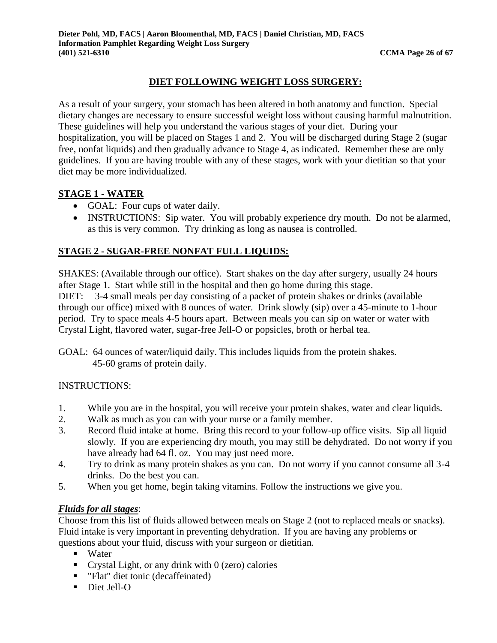#### **DIET FOLLOWING WEIGHT LOSS SURGERY:**

As a result of your surgery, your stomach has been altered in both anatomy and function. Special dietary changes are necessary to ensure successful weight loss without causing harmful malnutrition. These guidelines will help you understand the various stages of your diet. During your hospitalization, you will be placed on Stages 1 and 2. You will be discharged during Stage 2 (sugar free, nonfat liquids) and then gradually advance to Stage 4, as indicated. Remember these are only guidelines. If you are having trouble with any of these stages, work with your dietitian so that your diet may be more individualized.

#### **STAGE 1 - WATER**

- GOAL: Four cups of water daily.
- INSTRUCTIONS: Sip water. You will probably experience dry mouth. Do not be alarmed, as this is very common. Try drinking as long as nausea is controlled.

#### **STAGE 2 - SUGAR-FREE NONFAT FULL LIQUIDS:**

SHAKES: (Available through our office). Start shakes on the day after surgery, usually 24 hours after Stage 1. Start while still in the hospital and then go home during this stage. DIET: 3-4 small meals per day consisting of a packet of protein shakes or drinks (available through our office) mixed with 8 ounces of water. Drink slowly (sip) over a 45-minute to 1-hour period. Try to space meals 4-5 hours apart. Between meals you can sip on water or water with Crystal Light, flavored water, sugar-free Jell-O or popsicles, broth or herbal tea.

GOAL: 64 ounces of water/liquid daily. This includes liquids from the protein shakes. 45-60 grams of protein daily.

#### INSTRUCTIONS:

- 1. While you are in the hospital, you will receive your protein shakes, water and clear liquids.
- 2. Walk as much as you can with your nurse or a family member.
- 3. Record fluid intake at home. Bring this record to your follow-up office visits. Sip all liquid slowly. If you are experiencing dry mouth, you may still be dehydrated. Do not worry if you have already had 64 fl. oz. You may just need more.
- 4. Try to drink as many protein shakes as you can. Do not worry if you cannot consume all 3-4 drinks. Do the best you can.
- 5. When you get home, begin taking vitamins. Follow the instructions we give you.

#### *Fluids for all stages*:

Choose from this list of fluids allowed between meals on Stage 2 (not to replaced meals or snacks). Fluid intake is very important in preventing dehydration. If you are having any problems or questions about your fluid, discuss with your surgeon or dietitian.

- Water
- **•** Crystal Light, or any drink with  $\theta$  (zero) calories
- "Flat" diet tonic (decaffeinated)
- Diet Jell-O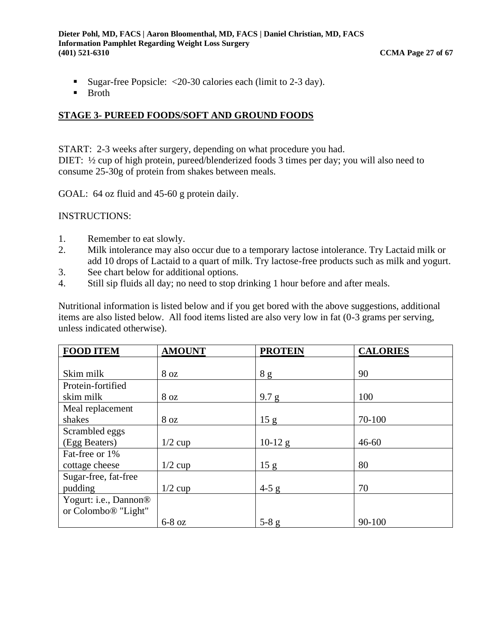- Sugar-free Popsicle:  $\langle 20-30 \rangle$  calories each (limit to 2-3 day).
- Broth

#### **STAGE 3- PUREED FOODS/SOFT AND GROUND FOODS**

START: 2-3 weeks after surgery, depending on what procedure you had. DIET:  $\frac{1}{2}$  cup of high protein, pureed/blenderized foods 3 times per day; you will also need to consume 25-30g of protein from shakes between meals.

GOAL: 64 oz fluid and 45-60 g protein daily.

INSTRUCTIONS:

- 1. Remember to eat slowly.
- 2. Milk intolerance may also occur due to a temporary lactose intolerance. Try Lactaid milk or add 10 drops of Lactaid to a quart of milk. Try lactose-free products such as milk and yogurt.
- 3. See chart below for additional options.
- 4. Still sip fluids all day; no need to stop drinking 1 hour before and after meals.

Nutritional information is listed below and if you get bored with the above suggestions, additional items are also listed below. All food items listed are also very low in fat (0-3 grams per serving, unless indicated otherwise).

| <b>FOOD ITEM</b>                  | <b>AMOUNT</b>   | <b>PROTEIN</b>  | <b>CALORIES</b> |
|-----------------------------------|-----------------|-----------------|-----------------|
|                                   |                 |                 |                 |
| Skim milk                         | 8 <sub>oz</sub> | 8g              | 90              |
| Protein-fortified                 |                 |                 |                 |
| skim milk                         | 8 <sub>oz</sub> | 9.7 g           | 100             |
| Meal replacement                  |                 |                 |                 |
| shakes                            | 8 oz            | 15 <sub>g</sub> | 70-100          |
| Scrambled eggs                    |                 |                 |                 |
| (Egg Beaters)                     | $1/2$ cup       | $10-12$ g       | $46 - 60$       |
| Fat-free or 1%                    |                 |                 |                 |
| cottage cheese                    | $1/2$ cup       | 15 g            | 80              |
| Sugar-free, fat-free              |                 |                 |                 |
| pudding                           | $1/2$ cup       | $4-5$ g         | 70              |
| Yogurt: i.e., Dannon <sup>®</sup> |                 |                 |                 |
| or Colombo <sup>®</sup> "Light"   |                 |                 |                 |
|                                   | $6-8$ oz        | $5-8$ g         | $90 - 100$      |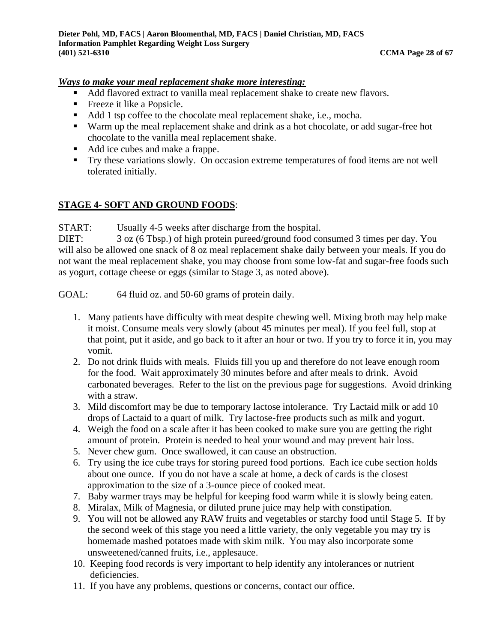#### *Ways to make your meal replacement shake more interesting:*

- Add flavored extract to vanilla meal replacement shake to create new flavors.
- **•** Freeze it like a Popsicle.
- Add 1 tsp coffee to the chocolate meal replacement shake, i.e., mocha.
- Warm up the meal replacement shake and drink as a hot chocolate, or add sugar-free hot chocolate to the vanilla meal replacement shake.
- Add ice cubes and make a frappe.
- Try these variations slowly. On occasion extreme temperatures of food items are not well tolerated initially.

#### **STAGE 4- SOFT AND GROUND FOODS**:

START: Usually 4-5 weeks after discharge from the hospital.

DIET: 3 oz (6 Tbsp.) of high protein pureed/ground food consumed 3 times per day. You will also be allowed one snack of 8 oz meal replacement shake daily between your meals. If you do not want the meal replacement shake, you may choose from some low-fat and sugar-free foods such as yogurt, cottage cheese or eggs (similar to Stage 3, as noted above).

GOAL: 64 fluid oz. and 50-60 grams of protein daily.

- 1. Many patients have difficulty with meat despite chewing well. Mixing broth may help make it moist. Consume meals very slowly (about 45 minutes per meal). If you feel full, stop at that point, put it aside, and go back to it after an hour or two. If you try to force it in, you may vomit.
- 2. Do not drink fluids with meals. Fluids fill you up and therefore do not leave enough room for the food. Wait approximately 30 minutes before and after meals to drink. Avoid carbonated beverages. Refer to the list on the previous page for suggestions. Avoid drinking with a straw.
- 3. Mild discomfort may be due to temporary lactose intolerance. Try Lactaid milk or add 10 drops of Lactaid to a quart of milk. Try lactose-free products such as milk and yogurt.
- 4. Weigh the food on a scale after it has been cooked to make sure you are getting the right amount of protein. Protein is needed to heal your wound and may prevent hair loss.
- 5. Never chew gum. Once swallowed, it can cause an obstruction.
- 6. Try using the ice cube trays for storing pureed food portions. Each ice cube section holds about one ounce. If you do not have a scale at home, a deck of cards is the closest approximation to the size of a 3-ounce piece of cooked meat.
- 7. Baby warmer trays may be helpful for keeping food warm while it is slowly being eaten.
- 8. Miralax, Milk of Magnesia, or diluted prune juice may help with constipation.
- 9. You will not be allowed any RAW fruits and vegetables or starchy food until Stage 5. If by the second week of this stage you need a little variety, the only vegetable you may try is homemade mashed potatoes made with skim milk. You may also incorporate some unsweetened/canned fruits, i.e., applesauce.
- 10. Keeping food records is very important to help identify any intolerances or nutrient deficiencies.
- 11. If you have any problems, questions or concerns, contact our office.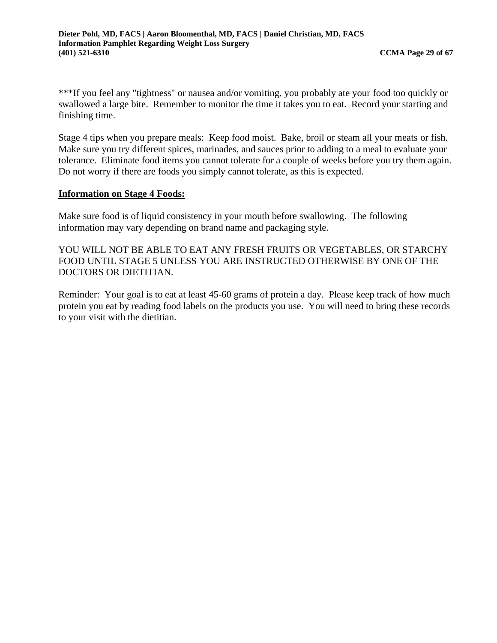\*\*\*If you feel any "tightness" or nausea and/or vomiting, you probably ate your food too quickly or swallowed a large bite. Remember to monitor the time it takes you to eat. Record your starting and finishing time.

Stage 4 tips when you prepare meals: Keep food moist. Bake, broil or steam all your meats or fish. Make sure you try different spices, marinades, and sauces prior to adding to a meal to evaluate your tolerance. Eliminate food items you cannot tolerate for a couple of weeks before you try them again. Do not worry if there are foods you simply cannot tolerate, as this is expected.

#### **Information on Stage 4 Foods:**

Make sure food is of liquid consistency in your mouth before swallowing. The following information may vary depending on brand name and packaging style.

YOU WILL NOT BE ABLE TO EAT ANY FRESH FRUITS OR VEGETABLES, OR STARCHY FOOD UNTIL STAGE 5 UNLESS YOU ARE INSTRUCTED OTHERWISE BY ONE OF THE DOCTORS OR DIETITIAN.

Reminder: Your goal is to eat at least 45-60 grams of protein a day. Please keep track of how much protein you eat by reading food labels on the products you use. You will need to bring these records to your visit with the dietitian.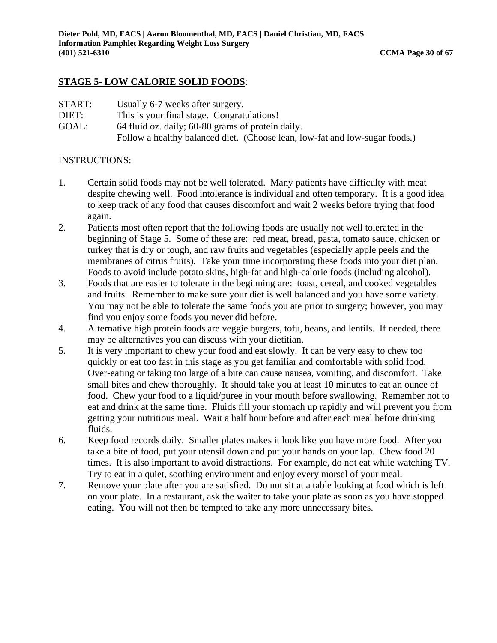#### **STAGE 5- LOW CALORIE SOLID FOODS**:

| START: | Usually 6-7 weeks after surgery.                                            |
|--------|-----------------------------------------------------------------------------|
| DIET:  | This is your final stage. Congratulations!                                  |
| GOAL:  | 64 fluid oz. daily; 60-80 grams of protein daily.                           |
|        | Follow a healthy balanced diet. (Choose lean, low-fat and low-sugar foods.) |

#### INSTRUCTIONS:

- 1. Certain solid foods may not be well tolerated. Many patients have difficulty with meat despite chewing well. Food intolerance is individual and often temporary. It is a good idea to keep track of any food that causes discomfort and wait 2 weeks before trying that food again.
- 2. Patients most often report that the following foods are usually not well tolerated in the beginning of Stage 5. Some of these are: red meat, bread, pasta, tomato sauce, chicken or turkey that is dry or tough, and raw fruits and vegetables (especially apple peels and the membranes of citrus fruits). Take your time incorporating these foods into your diet plan. Foods to avoid include potato skins, high-fat and high-calorie foods (including alcohol).
- 3. Foods that are easier to tolerate in the beginning are: toast, cereal, and cooked vegetables and fruits. Remember to make sure your diet is well balanced and you have some variety. You may not be able to tolerate the same foods you ate prior to surgery; however, you may find you enjoy some foods you never did before.
- 4. Alternative high protein foods are veggie burgers, tofu, beans, and lentils. If needed, there may be alternatives you can discuss with your dietitian.
- 5. It is very important to chew your food and eat slowly. It can be very easy to chew too quickly or eat too fast in this stage as you get familiar and comfortable with solid food. Over-eating or taking too large of a bite can cause nausea, vomiting, and discomfort. Take small bites and chew thoroughly. It should take you at least 10 minutes to eat an ounce of food. Chew your food to a liquid/puree in your mouth before swallowing. Remember not to eat and drink at the same time. Fluids fill your stomach up rapidly and will prevent you from getting your nutritious meal. Wait a half hour before and after each meal before drinking fluids.
- 6. Keep food records daily. Smaller plates makes it look like you have more food. After you take a bite of food, put your utensil down and put your hands on your lap. Chew food 20 times. It is also important to avoid distractions. For example, do not eat while watching TV. Try to eat in a quiet, soothing environment and enjoy every morsel of your meal.
- 7. Remove your plate after you are satisfied. Do not sit at a table looking at food which is left on your plate. In a restaurant, ask the waiter to take your plate as soon as you have stopped eating. You will not then be tempted to take any more unnecessary bites.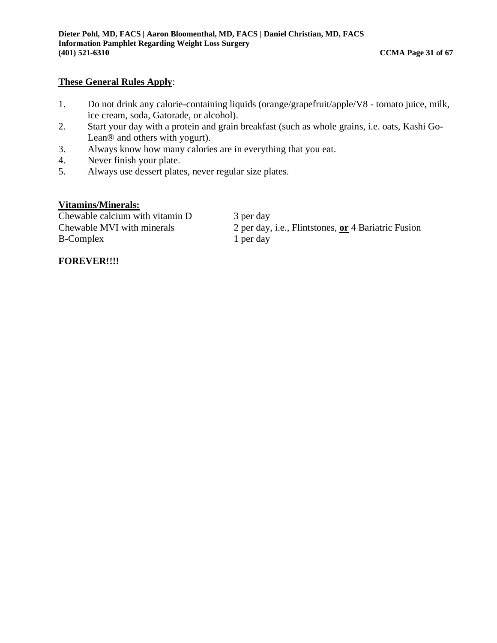#### **These General Rules Apply**:

- 1. Do not drink any calorie-containing liquids (orange/grapefruit/apple/V8 tomato juice, milk, ice cream, soda, Gatorade, or alcohol).
- 2. Start your day with a protein and grain breakfast (such as whole grains, i.e. oats, Kashi Go-Lean® and others with yogurt).
- 3. Always know how many calories are in everything that you eat.
- 4. Never finish your plate.
- 5. Always use dessert plates, never regular size plates.

#### **Vitamins/Minerals:**

 $\overline{\text{Chewable calcium with vitamin D}}$  3 per day B-Complex 1 per day

Chewable MVI with minerals 2 per day, i.e., Flintstones, **or** 4 Bariatric Fusion

#### **FOREVER!!!!**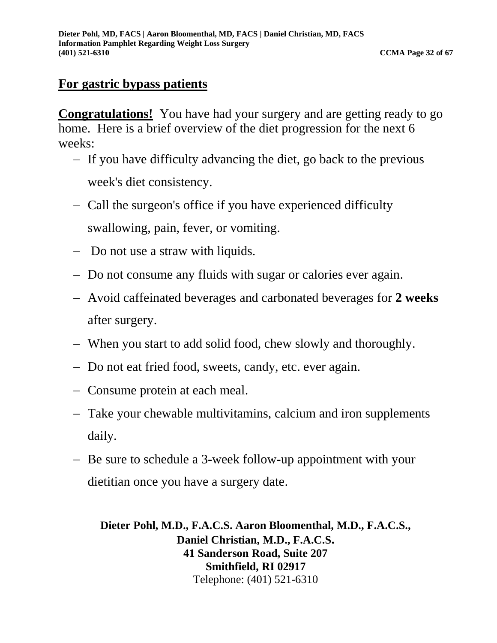# **For gastric bypass patients**

**Congratulations!** You have had your surgery and are getting ready to go home. Here is a brief overview of the diet progression for the next 6 weeks:

- − If you have difficulty advancing the diet, go back to the previous week's diet consistency.
- − Call the surgeon's office if you have experienced difficulty swallowing, pain, fever, or vomiting.
- − Do not use a straw with liquids.
- − Do not consume any fluids with sugar or calories ever again.
- − Avoid caffeinated beverages and carbonated beverages for **2 weeks** after surgery.
- − When you start to add solid food, chew slowly and thoroughly.
- − Do not eat fried food, sweets, candy, etc. ever again.
- − Consume protein at each meal.
- − Take your chewable multivitamins, calcium and iron supplements daily.
- − Be sure to schedule a 3-week follow-up appointment with your dietitian once you have a surgery date.

**Dieter Pohl, M.D., F.A.C.S. Aaron Bloomenthal, M.D., F.A.C.S., Daniel Christian, M.D., F.A.C.S. 41 Sanderson Road, Suite 207 Smithfield, RI 02917** Telephone: (401) 521-6310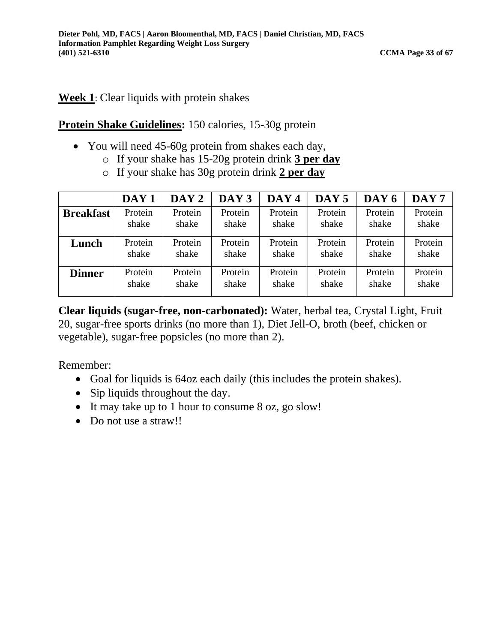# **Week 1**: Clear liquids with protein shakes

# **Protein Shake Guidelines:** 150 calories, 15-30g protein

- You will need 45-60g protein from shakes each day,
	- o If your shake has 15-20g protein drink **3 per day**
	- o If your shake has 30g protein drink **2 per day**

|                  | DAY <sub>1</sub> | DAY <sub>2</sub> | DAY <sub>3</sub> | DAY <sub>4</sub> | DAY <sub>5</sub> | DAY 6   | DAY <sub>7</sub> |
|------------------|------------------|------------------|------------------|------------------|------------------|---------|------------------|
| <b>Breakfast</b> | Protein          | Protein          | Protein          | Protein          | Protein          | Protein | Protein          |
|                  | shake            | shake            | shake            | shake            | shake            | shake   | shake            |
| Lunch            | Protein          | Protein          | Protein          | Protein          | Protein          | Protein | Protein          |
|                  | shake            | shake            | shake            | shake            | shake            | shake   | shake            |
| <b>Dinner</b>    | Protein          | Protein          | Protein          | Protein          | Protein          | Protein | Protein          |
|                  | shake            | shake            | shake            | shake            | shake            | shake   | shake            |

**Clear liquids (sugar-free, non-carbonated):** Water, herbal tea, Crystal Light, Fruit 20, sugar-free sports drinks (no more than 1), Diet Jell-O, broth (beef, chicken or vegetable), sugar-free popsicles (no more than 2).

- Goal for liquids is 64oz each daily (this includes the protein shakes).
- Sip liquids throughout the day.
- It may take up to 1 hour to consume 8 oz, go slow!
- Do not use a straw!!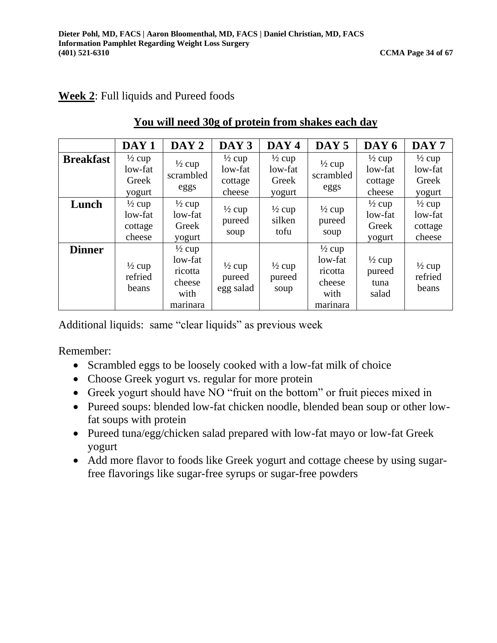# **Week 2**: Full liquids and Pureed foods

|                  | DAY <sub>1</sub>                                  | DAY <sub>2</sub>                                                      | DAY <sub>3</sub>                                  | DAY <sub>4</sub>                                | DAY 5                                                                 | DAY 6                                             | DAY <sub>7</sub>                                  |
|------------------|---------------------------------------------------|-----------------------------------------------------------------------|---------------------------------------------------|-------------------------------------------------|-----------------------------------------------------------------------|---------------------------------------------------|---------------------------------------------------|
| <b>Breakfast</b> | $\frac{1}{2}$ cup<br>low-fat<br>Greek<br>yogurt   | $\frac{1}{2}$ cup<br>scrambled<br>eggs                                | $\frac{1}{2}$ cup<br>low-fat<br>cottage<br>cheese | $\frac{1}{2}$ cup<br>low-fat<br>Greek<br>yogurt | $\frac{1}{2}$ cup<br>scrambled<br>eggs                                | $\frac{1}{2}$ cup<br>low-fat<br>cottage<br>cheese | $\frac{1}{2}$ cup<br>low-fat<br>Greek<br>yogurt   |
| Lunch            | $\frac{1}{2}$ cup<br>low-fat<br>cottage<br>cheese | $\frac{1}{2}$ cup<br>low-fat<br>Greek<br>yogurt                       | $\frac{1}{2}$ cup<br>pureed<br>soup               | $\frac{1}{2}$ cup<br>silken<br>tofu             | $\frac{1}{2}$ cup<br>pureed<br>soup                                   | $\frac{1}{2}$ cup<br>low-fat<br>Greek<br>yogurt   | $\frac{1}{2}$ cup<br>low-fat<br>cottage<br>cheese |
| <b>Dinner</b>    | $\frac{1}{2}$ cup<br>refried<br>beans             | $\frac{1}{2}$ cup<br>low-fat<br>ricotta<br>cheese<br>with<br>marinara | $\frac{1}{2}$ cup<br>pureed<br>egg salad          | $\frac{1}{2}$ cup<br>pureed<br>soup             | $\frac{1}{2}$ cup<br>low-fat<br>ricotta<br>cheese<br>with<br>marinara | $\frac{1}{2}$ cup<br>pureed<br>tuna<br>salad      | $\frac{1}{2}$ cup<br>refried<br>beans             |

# **You will need 30g of protein from shakes each day**

Additional liquids: same "clear liquids" as previous week

- Scrambled eggs to be loosely cooked with a low-fat milk of choice
- Choose Greek yogurt vs. regular for more protein
- Greek yogurt should have NO "fruit on the bottom" or fruit pieces mixed in
- Pureed soups: blended low-fat chicken noodle, blended bean soup or other lowfat soups with protein
- Pureed tuna/egg/chicken salad prepared with low-fat mayo or low-fat Greek yogurt
- Add more flavor to foods like Greek yogurt and cottage cheese by using sugarfree flavorings like sugar-free syrups or sugar-free powders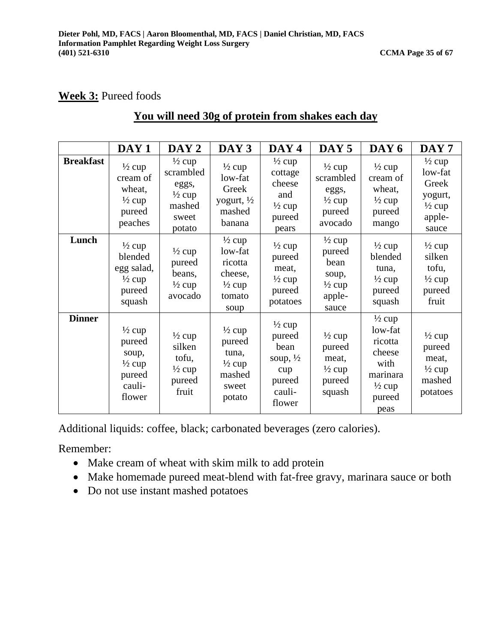# **Week 3:** Pureed foods

# **You will need 30g of protein from shakes each day**

|                  | DAY <sub>1</sub>                                                                        | DAY <sub>2</sub>                                                                          | DAY <sub>3</sub>                                                                          | DAY 4                                                                                           | DAY <sub>5</sub>                                                                     | DAY 6                                                                                                        | DAY <sub>7</sub>                                                                         |
|------------------|-----------------------------------------------------------------------------------------|-------------------------------------------------------------------------------------------|-------------------------------------------------------------------------------------------|-------------------------------------------------------------------------------------------------|--------------------------------------------------------------------------------------|--------------------------------------------------------------------------------------------------------------|------------------------------------------------------------------------------------------|
| <b>Breakfast</b> | $\frac{1}{2}$ cup<br>cream of<br>wheat,<br>$\frac{1}{2}$ cup<br>pureed<br>peaches       | $\frac{1}{2}$ cup<br>scrambled<br>eggs,<br>$\frac{1}{2}$ cup<br>mashed<br>sweet<br>potato | $\frac{1}{2}$ cup<br>low-fat<br>Greek<br>yogurt, $\frac{1}{2}$<br>mashed<br>banana        | $\frac{1}{2}$ cup<br>cottage<br>cheese<br>and<br>$\frac{1}{2}$ cup<br>pureed<br>pears           | $\frac{1}{2}$ cup<br>scrambled<br>eggs,<br>$\frac{1}{2}$ cup<br>pureed<br>avocado    | $\frac{1}{2}$ cup<br>cream of<br>wheat,<br>$\frac{1}{2}$ cup<br>pureed<br>mango                              | $\frac{1}{2}$ cup<br>low-fat<br>Greek<br>yogurt,<br>$\frac{1}{2}$ cup<br>apple-<br>sauce |
| Lunch            | $\frac{1}{2}$ cup<br>blended<br>egg salad,<br>$\frac{1}{2}$ cup<br>pureed<br>squash     | $\frac{1}{2}$ cup<br>pureed<br>beans,<br>$\frac{1}{2}$ cup<br>avocado                     | $\frac{1}{2}$ cup<br>low-fat<br>ricotta<br>cheese,<br>$\frac{1}{2}$ cup<br>tomato<br>soup | $\frac{1}{2}$ cup<br>pureed<br>meat,<br>$\frac{1}{2}$ cup<br>pureed<br>potatoes                 | $\frac{1}{2}$ cup<br>pureed<br>bean<br>soup,<br>$\frac{1}{2}$ cup<br>apple-<br>sauce | $\frac{1}{2}$ cup<br>blended<br>tuna,<br>$\frac{1}{2}$ cup<br>pureed<br>squash                               | $\frac{1}{2}$ cup<br>silken<br>tofu,<br>$\frac{1}{2}$ cup<br>pureed<br>fruit             |
| <b>Dinner</b>    | $\frac{1}{2}$ cup<br>pureed<br>soup,<br>$\frac{1}{2}$ cup<br>pureed<br>cauli-<br>flower | $\frac{1}{2}$ cup<br>silken<br>tofu,<br>$\frac{1}{2}$ cup<br>pureed<br>fruit              | $\frac{1}{2}$ cup<br>pureed<br>tuna,<br>$\frac{1}{2}$ cup<br>mashed<br>sweet<br>potato    | $\frac{1}{2}$ cup<br>pureed<br>bean<br>soup, $\frac{1}{2}$<br>cup<br>pureed<br>cauli-<br>flower | $\frac{1}{2}$ cup<br>pureed<br>meat,<br>$\frac{1}{2}$ cup<br>pureed<br>squash        | $\frac{1}{2}$ cup<br>low-fat<br>ricotta<br>cheese<br>with<br>marinara<br>$\frac{1}{2}$ cup<br>pureed<br>peas | $\frac{1}{2}$ cup<br>pureed<br>meat,<br>$\frac{1}{2}$ cup<br>mashed<br>potatoes          |

Additional liquids: coffee, black; carbonated beverages (zero calories).

- Make cream of wheat with skim milk to add protein
- Make homemade pureed meat-blend with fat-free gravy, marinara sauce or both
- Do not use instant mashed potatoes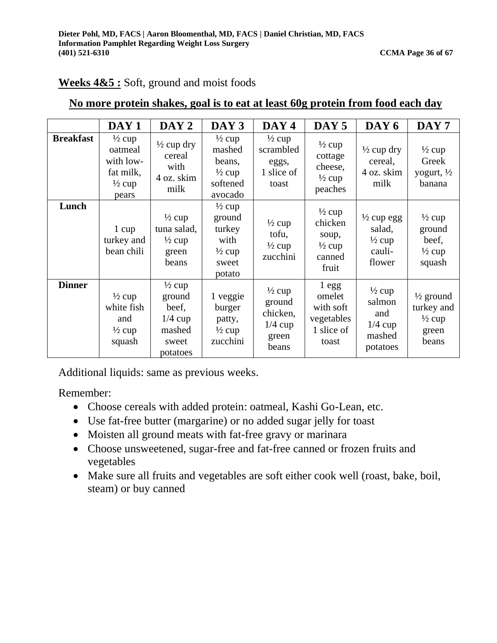|                  | DAY <sub>1</sub>                                                                     | DAY 2                                                                            | DAY 3                                                                                 | DAY 4                                                                  | DAY <sub>5</sub>                                                              | DAY 6                                                                    | DAY <sub>7</sub>                                                          |
|------------------|--------------------------------------------------------------------------------------|----------------------------------------------------------------------------------|---------------------------------------------------------------------------------------|------------------------------------------------------------------------|-------------------------------------------------------------------------------|--------------------------------------------------------------------------|---------------------------------------------------------------------------|
| <b>Breakfast</b> | $\frac{1}{2}$ cup<br>oatmeal<br>with low-<br>fat milk,<br>$\frac{1}{2}$ cup<br>pears | $\frac{1}{2}$ cup dry<br>cereal<br>with<br>4 oz. skim<br>milk                    | $\frac{1}{2}$ cup<br>mashed<br>beans,<br>$\frac{1}{2}$ cup<br>softened<br>avocado     | $\frac{1}{2}$ cup<br>scrambled<br>eggs,<br>1 slice of<br>toast         | $\frac{1}{2}$ cup<br>cottage<br>cheese,<br>$\frac{1}{2}$ cup<br>peaches       | $\frac{1}{2}$ cup dry<br>cereal,<br>4 oz. skim<br>milk                   | $\frac{1}{2}$ cup<br>Greek<br>yogurt, $\frac{1}{2}$<br>banana             |
| Lunch            | 1 cup<br>turkey and<br>bean chili                                                    | $\frac{1}{2}$ cup<br>tuna salad,<br>$\frac{1}{2}$ cup<br>green<br>beans          | $\frac{1}{2}$ cup<br>ground<br>turkey<br>with<br>$\frac{1}{2}$ cup<br>sweet<br>potato | $\frac{1}{2}$ cup<br>tofu,<br>$\frac{1}{2}$ cup<br>zucchini            | $\frac{1}{2}$ cup<br>chicken<br>soup,<br>$\frac{1}{2}$ cup<br>canned<br>fruit | $\frac{1}{2}$ cup egg<br>salad,<br>$\frac{1}{2}$ cup<br>cauli-<br>flower | $\frac{1}{2}$ cup<br>ground<br>beef,<br>$\frac{1}{2}$ cup<br>squash       |
| <b>Dinner</b>    | $\frac{1}{2}$ cup<br>white fish<br>and<br>$\frac{1}{2}$ cup<br>squash                | $\frac{1}{2}$ cup<br>ground<br>beef,<br>$1/4$ cup<br>mashed<br>sweet<br>potatoes | 1 veggie<br>burger<br>patty,<br>$\frac{1}{2}$ cup<br>zucchini                         | $\frac{1}{2}$ cup<br>ground<br>chicken,<br>$1/4$ cup<br>green<br>beans | 1egg<br>omelet<br>with soft<br>vegetables<br>1 slice of<br>toast              | $\frac{1}{2}$ cup<br>salmon<br>and<br>$1/4$ cup<br>mashed<br>potatoes    | $\frac{1}{2}$ ground<br>turkey and<br>$\frac{1}{2}$ cup<br>green<br>beans |

# **Weeks 4&5 :** Soft, ground and moist foods

# **No more protein shakes, goal is to eat at least 60g protein from food each day**

Additional liquids: same as previous weeks.

- Choose cereals with added protein: oatmeal, Kashi Go-Lean, etc.
- Use fat-free butter (margarine) or no added sugar jelly for toast
- Moisten all ground meats with fat-free gravy or marinara
- Choose unsweetened, sugar-free and fat-free canned or frozen fruits and vegetables
- Make sure all fruits and vegetables are soft either cook well (roast, bake, boil, steam) or buy canned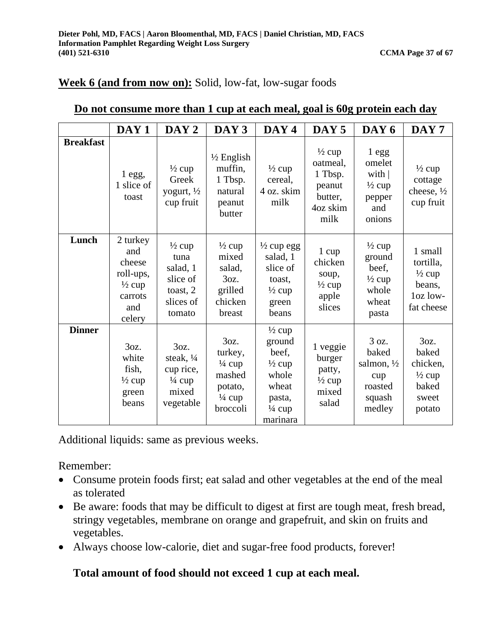# **Week 6 (and from now on):** Solid, low-fat, low-sugar foods

|                  | DAY <sub>1</sub>                                                                        | DAY <sub>2</sub>                                                                     | DAY <sub>3</sub>                                                                           | DAY <sub>4</sub>                                                                                                       | DAY <sub>5</sub>                                                                  | DAY 6                                                                                | DAY <sub>7</sub>                                                              |
|------------------|-----------------------------------------------------------------------------------------|--------------------------------------------------------------------------------------|--------------------------------------------------------------------------------------------|------------------------------------------------------------------------------------------------------------------------|-----------------------------------------------------------------------------------|--------------------------------------------------------------------------------------|-------------------------------------------------------------------------------|
| <b>Breakfast</b> | $1$ egg,<br>1 slice of<br>toast                                                         | $\frac{1}{2}$ cup<br>Greek<br>yogurt, $\frac{1}{2}$<br>cup fruit                     | $\frac{1}{2}$ English<br>muffin,<br>1 Tbsp.<br>natural<br>peanut<br>butter                 | $\frac{1}{2}$ cup<br>cereal,<br>4 oz. skim<br>milk                                                                     | $\frac{1}{2}$ cup<br>oatmeal,<br>1 Tbsp.<br>peanut<br>butter,<br>4oz skim<br>milk | $1$ egg<br>omelet<br>with $ $<br>$\frac{1}{2}$ cup<br>pepper<br>and<br>onions        | $\frac{1}{2}$ cup<br>cottage<br>cheese, $\frac{1}{2}$<br>cup fruit            |
| Lunch            | 2 turkey<br>and<br>cheese<br>roll-ups,<br>$\frac{1}{2}$ cup<br>carrots<br>and<br>celery | $\frac{1}{2}$ cup<br>tuna<br>salad, 1<br>slice of<br>toast, 2<br>slices of<br>tomato | $\frac{1}{2}$ cup<br>mixed<br>salad,<br>3oz.<br>grilled<br>chicken<br>breast               | $\frac{1}{2}$ cup egg<br>salad, 1<br>slice of<br>toast,<br>$\frac{1}{2}$ cup<br>green<br>beans                         | $1 \text{ cup}$<br>chicken<br>soup,<br>$\frac{1}{2}$ cup<br>apple<br>slices       | $\frac{1}{2}$ cup<br>ground<br>beef,<br>$\frac{1}{2}$ cup<br>whole<br>wheat<br>pasta | 1 small<br>tortilla,<br>$\frac{1}{2}$ cup<br>beans,<br>loz low-<br>fat cheese |
| <b>Dinner</b>    | 3oz.<br>white<br>fish,<br>$\frac{1}{2}$ cup<br>green<br>beans                           | 3oz.<br>steak, 1/4<br>cup rice,<br>$\frac{1}{4}$ cup<br>mixed<br>vegetable           | 3oz.<br>turkey,<br>$\frac{1}{4}$ cup<br>mashed<br>potato,<br>$\frac{1}{4}$ cup<br>broccoli | $\frac{1}{2}$ cup<br>ground<br>beef.<br>$\frac{1}{2}$ cup<br>whole<br>wheat<br>pasta,<br>$\frac{1}{4}$ cup<br>marinara | 1 veggie<br>burger<br>patty,<br>$\frac{1}{2}$ cup<br>mixed<br>salad               | 3 oz.<br>baked<br>salmon, $\frac{1}{2}$<br>cup<br>roasted<br>squash<br>medley        | 3oz.<br>baked<br>chicken,<br>$\frac{1}{2}$ cup<br>baked<br>sweet<br>potato    |

# **Do not consume more than 1 cup at each meal, goal is 60g protein each day**

Additional liquids: same as previous weeks.

Remember:

- Consume protein foods first; eat salad and other vegetables at the end of the meal as tolerated
- Be aware: foods that may be difficult to digest at first are tough meat, fresh bread, stringy vegetables, membrane on orange and grapefruit, and skin on fruits and vegetables.
- Always choose low-calorie, diet and sugar-free food products, forever!

# **Total amount of food should not exceed 1 cup at each meal.**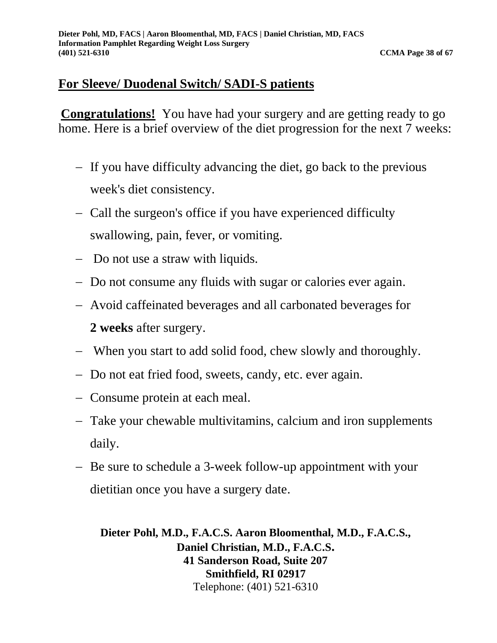# **For Sleeve/ Duodenal Switch/ SADI-S patients**

**Congratulations!** You have had your surgery and are getting ready to go home. Here is a brief overview of the diet progression for the next 7 weeks:

- − If you have difficulty advancing the diet, go back to the previous week's diet consistency.
- − Call the surgeon's office if you have experienced difficulty swallowing, pain, fever, or vomiting.
- − Do not use a straw with liquids.
- − Do not consume any fluids with sugar or calories ever again.
- − Avoid caffeinated beverages and all carbonated beverages for **2 weeks** after surgery.
- − When you start to add solid food, chew slowly and thoroughly.
- − Do not eat fried food, sweets, candy, etc. ever again.
- − Consume protein at each meal.
- − Take your chewable multivitamins, calcium and iron supplements daily.
- − Be sure to schedule a 3-week follow-up appointment with your dietitian once you have a surgery date.

**Dieter Pohl, M.D., F.A.C.S. Aaron Bloomenthal, M.D., F.A.C.S., Daniel Christian, M.D., F.A.C.S. 41 Sanderson Road, Suite 207 Smithfield, RI 02917** Telephone: (401) 521-6310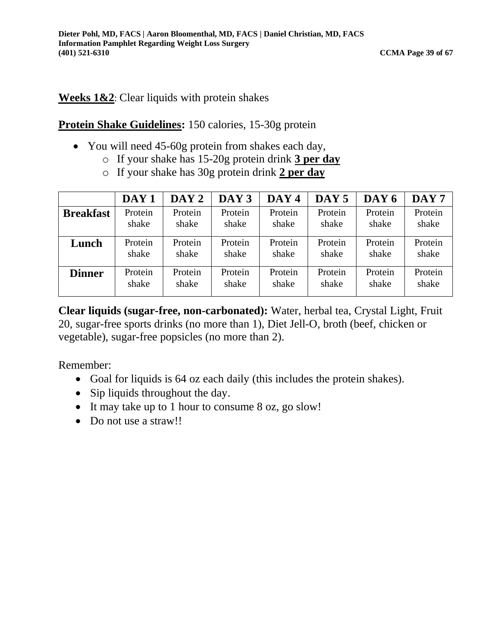# **Weeks 1&2**: Clear liquids with protein shakes

# **Protein Shake Guidelines:** 150 calories, 15-30g protein

- You will need 45-60g protein from shakes each day,
	- o If your shake has 15-20g protein drink **3 per day**
	- o If your shake has 30g protein drink **2 per day**

|                  | DAY <sub>1</sub> | $\bf{DAY}$ 2 | DAY <sub>3</sub> | DAY <sub>4</sub> | DAY <sub>5</sub> | DAY 6   | DAY <sub>7</sub> |
|------------------|------------------|--------------|------------------|------------------|------------------|---------|------------------|
| <b>Breakfast</b> | Protein          | Protein      | Protein          | Protein          | Protein          | Protein | Protein          |
|                  | shake            | shake        | shake            | shake            | shake            | shake   | shake            |
| Lunch            | Protein          | Protein      | Protein          | Protein          | Protein          | Protein | Protein          |
|                  | shake            | shake        | shake            | shake            | shake            | shake   | shake            |
| <b>Dinner</b>    | Protein          | Protein      | Protein          | Protein          | Protein          | Protein | Protein          |
|                  | shake            | shake        | shake            | shake            | shake            | shake   | shake            |

**Clear liquids (sugar-free, non-carbonated):** Water, herbal tea, Crystal Light, Fruit 20, sugar-free sports drinks (no more than 1), Diet Jell-O, broth (beef, chicken or vegetable), sugar-free popsicles (no more than 2).

- Goal for liquids is 64 oz each daily (this includes the protein shakes).
- Sip liquids throughout the day.
- It may take up to 1 hour to consume 8 oz, go slow!
- Do not use a straw!!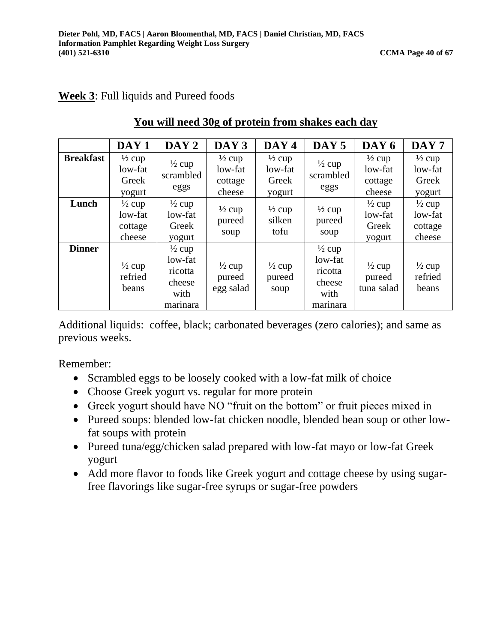# **Week 3**: Full liquids and Pureed foods

|                  | DAY <sub>1</sub>                                  | DAY 2                                                                 | DAY <sub>3</sub>                                  | DAY 4                                           | DAY 5                                                                 | DAY <sub>6</sub>                                  | DAY <sub>7</sub>                                  |
|------------------|---------------------------------------------------|-----------------------------------------------------------------------|---------------------------------------------------|-------------------------------------------------|-----------------------------------------------------------------------|---------------------------------------------------|---------------------------------------------------|
| <b>Breakfast</b> | $\frac{1}{2}$ cup<br>low-fat<br>Greek<br>yogurt   | $\frac{1}{2}$ cup<br>scrambled<br>eggs                                | $\frac{1}{2}$ cup<br>low-fat<br>cottage<br>cheese | $\frac{1}{2}$ cup<br>low-fat<br>Greek<br>yogurt | $\frac{1}{2}$ cup<br>scrambled<br>eggs                                | $\frac{1}{2}$ cup<br>low-fat<br>cottage<br>cheese | $\frac{1}{2}$ cup<br>low-fat<br>Greek<br>yogurt   |
| Lunch            | $\frac{1}{2}$ cup<br>low-fat<br>cottage<br>cheese | $\frac{1}{2}$ cup<br>low-fat<br>Greek<br>yogurt                       | $\frac{1}{2}$ cup<br>pureed<br>soup               | $\frac{1}{2}$ cup<br>silken<br>tofu             | $\frac{1}{2}$ cup<br>pureed<br>soup                                   | $\frac{1}{2}$ cup<br>low-fat<br>Greek<br>yogurt   | $\frac{1}{2}$ cup<br>low-fat<br>cottage<br>cheese |
| <b>Dinner</b>    | $\frac{1}{2}$ cup<br>refried<br>beans             | $\frac{1}{2}$ cup<br>low-fat<br>ricotta<br>cheese<br>with<br>marinara | $\frac{1}{2}$ cup<br>pureed<br>egg salad          | $\frac{1}{2}$ cup<br>pureed<br>soup             | $\frac{1}{2}$ cup<br>low-fat<br>ricotta<br>cheese<br>with<br>marinara | $\frac{1}{2}$ cup<br>pureed<br>tuna salad         | $\frac{1}{2}$ cup<br>refried<br>beans             |

# **You will need 30g of protein from shakes each day**

Additional liquids: coffee, black; carbonated beverages (zero calories); and same as previous weeks.

- Scrambled eggs to be loosely cooked with a low-fat milk of choice
- Choose Greek yogurt vs. regular for more protein
- Greek yogurt should have NO "fruit on the bottom" or fruit pieces mixed in
- Pureed soups: blended low-fat chicken noodle, blended bean soup or other lowfat soups with protein
- Pureed tuna/egg/chicken salad prepared with low-fat mayo or low-fat Greek yogurt
- Add more flavor to foods like Greek yogurt and cottage cheese by using sugarfree flavorings like sugar-free syrups or sugar-free powders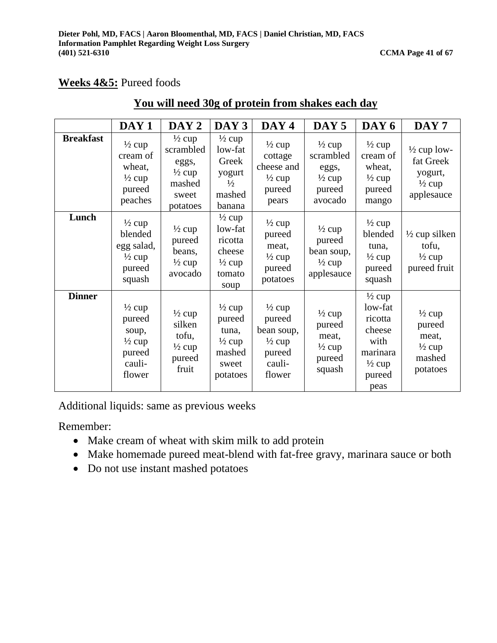# **Weeks 4&5:** Pureed foods

|                  | DAY <sub>1</sub>                                                                        | DAY <sub>2</sub>                                                                            | DAY 3                                                                                    | DAY <sub>4</sub>                                                                             | DAY <sub>5</sub>                                                                  | DAY 6                                                                                                        | DAY <sub>7</sub>                                                                  |
|------------------|-----------------------------------------------------------------------------------------|---------------------------------------------------------------------------------------------|------------------------------------------------------------------------------------------|----------------------------------------------------------------------------------------------|-----------------------------------------------------------------------------------|--------------------------------------------------------------------------------------------------------------|-----------------------------------------------------------------------------------|
| <b>Breakfast</b> | $\frac{1}{2}$ cup<br>cream of<br>wheat,<br>$\frac{1}{2}$ cup<br>pureed<br>peaches       | $\frac{1}{2}$ cup<br>scrambled<br>eggs,<br>$\frac{1}{2}$ cup<br>mashed<br>sweet<br>potatoes | $\frac{1}{2}$ cup<br>low-fat<br>Greek<br>yogurt<br>$\frac{1}{2}$<br>mashed<br>banana     | $\frac{1}{2}$ cup<br>cottage<br>cheese and<br>$\frac{1}{2}$ cup<br>pureed<br>pears           | $\frac{1}{2}$ cup<br>scrambled<br>eggs,<br>$\frac{1}{2}$ cup<br>pureed<br>avocado | $\frac{1}{2}$ cup<br>cream of<br>wheat,<br>$\frac{1}{2}$ cup<br>pureed<br>mango                              | $\frac{1}{2}$ cup low-<br>fat Greek<br>yogurt,<br>$\frac{1}{2}$ cup<br>applesauce |
| Lunch            | $\frac{1}{2}$ cup<br>blended<br>egg salad,<br>$\frac{1}{2}$ cup<br>pureed<br>squash     | $\frac{1}{2}$ cup<br>pureed<br>beans,<br>$\frac{1}{2}$ cup<br>avocado                       | $\frac{1}{2}$ cup<br>low-fat<br>ricotta<br>cheese<br>$\frac{1}{2}$ cup<br>tomato<br>soup | $\frac{1}{2}$ cup<br>pureed<br>meat,<br>$\frac{1}{2}$ cup<br>pureed<br>potatoes              | $\frac{1}{2}$ cup<br>pureed<br>bean soup,<br>$\frac{1}{2}$ cup<br>applesauce      | $\frac{1}{2}$ cup<br>blended<br>tuna,<br>$\frac{1}{2}$ cup<br>pureed<br>squash                               | $\frac{1}{2}$ cup silken<br>tofu,<br>$\frac{1}{2}$ cup<br>pureed fruit            |
| <b>Dinner</b>    | $\frac{1}{2}$ cup<br>pureed<br>soup,<br>$\frac{1}{2}$ cup<br>pureed<br>cauli-<br>flower | $\frac{1}{2}$ cup<br>silken<br>tofu,<br>$\frac{1}{2}$ cup<br>pureed<br>fruit                | $\frac{1}{2}$ cup<br>pureed<br>tuna,<br>$\frac{1}{2}$ cup<br>mashed<br>sweet<br>potatoes | $\frac{1}{2}$ cup<br>pureed<br>bean soup,<br>$\frac{1}{2}$ cup<br>pureed<br>cauli-<br>flower | $\frac{1}{2}$ cup<br>pureed<br>meat,<br>$\frac{1}{2}$ cup<br>pureed<br>squash     | $\frac{1}{2}$ cup<br>low-fat<br>ricotta<br>cheese<br>with<br>marinara<br>$\frac{1}{2}$ cup<br>pureed<br>peas | $\frac{1}{2}$ cup<br>pureed<br>meat,<br>$\frac{1}{2}$ cup<br>mashed<br>potatoes   |

# **You will need 30g of protein from shakes each day**

Additional liquids: same as previous weeks

- Make cream of wheat with skim milk to add protein
- Make homemade pureed meat-blend with fat-free gravy, marinara sauce or both
- Do not use instant mashed potatoes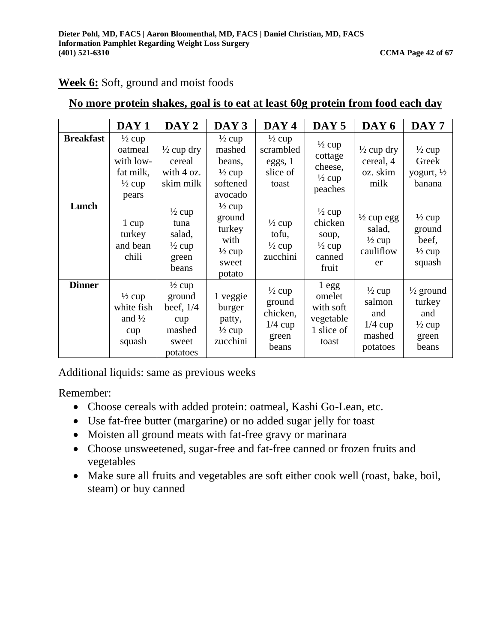|                  | DAY <sub>1</sub>                                                                     | DAY <sub>2</sub>                                                                 | DAY 3                                                                                 | DAY 4                                                                  | DAY <sub>5</sub>                                                              | DAY 6                                                                   | DAY <sub>7</sub>                                                             |
|------------------|--------------------------------------------------------------------------------------|----------------------------------------------------------------------------------|---------------------------------------------------------------------------------------|------------------------------------------------------------------------|-------------------------------------------------------------------------------|-------------------------------------------------------------------------|------------------------------------------------------------------------------|
| <b>Breakfast</b> | $\frac{1}{2}$ cup<br>oatmeal<br>with low-<br>fat milk,<br>$\frac{1}{2}$ cup<br>pears | $\frac{1}{2}$ cup dry<br>cereal<br>with $4 \text{ oz.}$<br>skim milk             | $\frac{1}{2}$ cup<br>mashed<br>beans,<br>$\frac{1}{2}$ cup<br>softened<br>avocado     | $\frac{1}{2}$ cup<br>scrambled<br>eggs, 1<br>slice of<br>toast         | $\frac{1}{2}$ cup<br>cottage<br>cheese,<br>$\frac{1}{2}$ cup<br>peaches       | $\frac{1}{2}$ cup dry<br>cereal, 4<br>oz. skim<br>milk                  | $\frac{1}{2}$ cup<br>Greek<br>yogurt, $\frac{1}{2}$<br>banana                |
| Lunch            | 1 cup<br>turkey<br>and bean<br>chili                                                 | $\frac{1}{2}$ cup<br>tuna<br>salad,<br>$\frac{1}{2}$ cup<br>green<br>beans       | $\frac{1}{2}$ cup<br>ground<br>turkey<br>with<br>$\frac{1}{2}$ cup<br>sweet<br>potato | $\frac{1}{2}$ cup<br>tofu,<br>$\frac{1}{2}$ cup<br>zucchini            | $\frac{1}{2}$ cup<br>chicken<br>soup,<br>$\frac{1}{2}$ cup<br>canned<br>fruit | $\frac{1}{2}$ cup egg<br>salad,<br>$\frac{1}{2}$ cup<br>cauliflow<br>er | $\frac{1}{2}$ cup<br>ground<br>beef,<br>$\frac{1}{2}$ cup<br>squash          |
| <b>Dinner</b>    | $\frac{1}{2}$ cup<br>white fish<br>and $\frac{1}{2}$<br>cup<br>squash                | $\frac{1}{2}$ cup<br>ground<br>beef, $1/4$<br>cup<br>mashed<br>sweet<br>potatoes | 1 veggie<br>burger<br>patty,<br>$\frac{1}{2}$ cup<br>zucchini                         | $\frac{1}{2}$ cup<br>ground<br>chicken,<br>$1/4$ cup<br>green<br>beans | $1$ egg<br>omelet<br>with soft<br>vegetable<br>1 slice of<br>toast            | $\frac{1}{2}$ cup<br>salmon<br>and<br>$1/4$ cup<br>mashed<br>potatoes   | $\frac{1}{2}$ ground<br>turkey<br>and<br>$\frac{1}{2}$ cup<br>green<br>beans |

# **Week 6:** Soft, ground and moist foods

# **No more protein shakes, goal is to eat at least 60g protein from food each day**

Additional liquids: same as previous weeks

- Choose cereals with added protein: oatmeal, Kashi Go-Lean, etc.
- Use fat-free butter (margarine) or no added sugar jelly for toast
- Moisten all ground meats with fat-free gravy or marinara
- Choose unsweetened, sugar-free and fat-free canned or frozen fruits and vegetables
- Make sure all fruits and vegetables are soft either cook well (roast, bake, boil, steam) or buy canned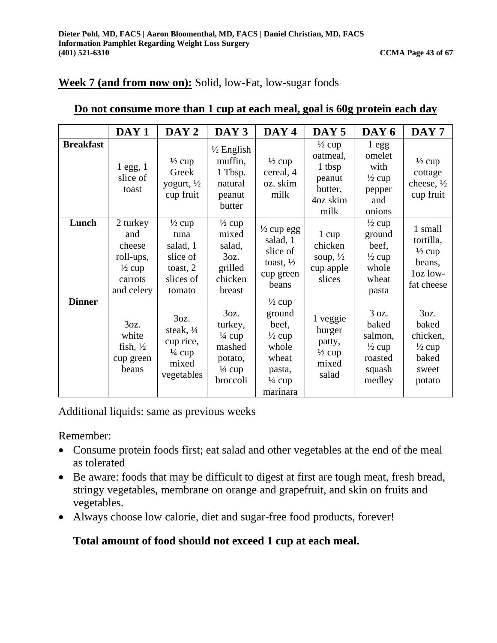# **Week 7 (and from now on):** Solid, low-Fat, low-sugar foods

|                  | DAY <sub>1</sub>                                                                     | DAY <sub>2</sub>                                                                                  | DAY <sub>3</sub>                                                                           | DAY <sub>4</sub>                                                                                                       | DAY <sub>5</sub>                                                                 | DAY 6                                                                                | DAY <sub>7</sub>                                                              |
|------------------|--------------------------------------------------------------------------------------|---------------------------------------------------------------------------------------------------|--------------------------------------------------------------------------------------------|------------------------------------------------------------------------------------------------------------------------|----------------------------------------------------------------------------------|--------------------------------------------------------------------------------------|-------------------------------------------------------------------------------|
| <b>Breakfast</b> | $1$ egg, $1$<br>slice of<br>toast                                                    | $\frac{1}{2}$ cup<br>Greek<br>yogurt, $\frac{1}{2}$<br>cup fruit                                  | $\frac{1}{2}$ English<br>muffin,<br>1 Tbsp.<br>natural<br>peanut<br>butter                 | $\frac{1}{2}$ cup<br>cereal, 4<br>oz. skim<br>milk                                                                     | $\frac{1}{2}$ cup<br>oatmeal,<br>1 tbsp<br>peanut<br>butter,<br>4oz skim<br>milk | 1egg<br>omelet<br>with<br>$\frac{1}{2}$ cup<br>pepper<br>and<br>onions               | $\frac{1}{2}$ cup<br>cottage<br>cheese, $\frac{1}{2}$<br>cup fruit            |
| Lunch            | 2 turkey<br>and<br>cheese<br>roll-ups,<br>$\frac{1}{2}$ cup<br>carrots<br>and celery | $\frac{1}{2}$ cup<br>tuna<br>salad, 1<br>slice of<br>toast, 2<br>slices of<br>tomato              | $\frac{1}{2}$ cup<br>mixed<br>salad,<br>3oz.<br>grilled<br>chicken<br>breast               | $\frac{1}{2}$ cup egg<br>salad, 1<br>slice of<br>toast, $\frac{1}{2}$<br>cup green<br>beans                            | 1 cup<br>chicken<br>soup, $\frac{1}{2}$<br>cup apple<br>slices                   | $\frac{1}{2}$ cup<br>ground<br>beef,<br>$\frac{1}{2}$ cup<br>whole<br>wheat<br>pasta | 1 small<br>tortilla,<br>$\frac{1}{2}$ cup<br>beans,<br>loz low-<br>fat cheese |
| <b>Dinner</b>    | 3 <sub>oz.</sub><br>white<br>fish, $\frac{1}{2}$<br>cup green<br>heans               | 3 <sub>oz.</sub><br>steak, $\frac{1}{4}$<br>cup rice,<br>$\frac{1}{4}$ cup<br>mixed<br>vegetables | 3oz.<br>turkey,<br>$\frac{1}{4}$ cup<br>mashed<br>potato,<br>$\frac{1}{4}$ cup<br>broccoli | $\frac{1}{2}$ cup<br>ground<br>beef,<br>$\frac{1}{2}$ cup<br>whole<br>wheat<br>pasta,<br>$\frac{1}{4}$ cup<br>marinara | 1 veggie<br>burger<br>patty,<br>$\frac{1}{2}$ cup<br>mixed<br>salad              | 3 oz.<br>baked<br>salmon,<br>$\frac{1}{2}$ cup<br>roasted<br>squash<br>medley        | 3oz.<br>baked<br>chicken,<br>$\frac{1}{2}$ cup<br>baked<br>sweet<br>potato    |

# **Do not consume more than 1 cup at each meal, goal is 60g protein each day**

Additional liquids: same as previous weeks

Remember:

- Consume protein foods first; eat salad and other vegetables at the end of the meal as tolerated
- Be aware: foods that may be difficult to digest at first are tough meat, fresh bread, stringy vegetables, membrane on orange and grapefruit, and skin on fruits and vegetables.
- Always choose low calorie, diet and sugar-free food products, forever!

# **Total amount of food should not exceed 1 cup at each meal.**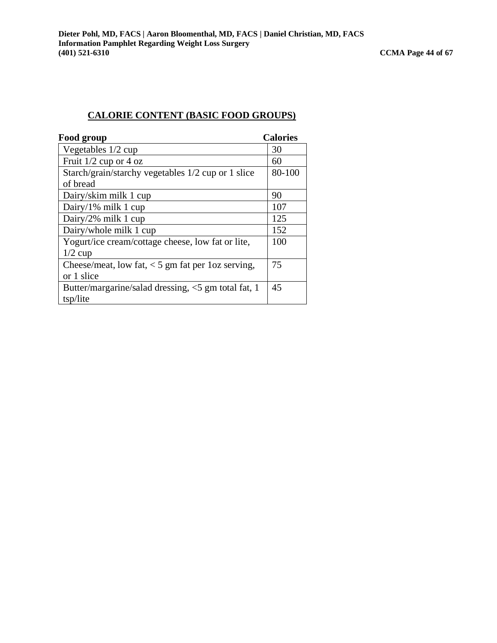#### **CALORIE CONTENT (BASIC FOOD GROUPS)**

| Food group                                          | <b>Calories</b> |
|-----------------------------------------------------|-----------------|
| Vegetables 1/2 cup                                  | 30              |
| Fruit $1/2$ cup or 4 oz                             | 60              |
| Starch/grain/starchy vegetables 1/2 cup or 1 slice  | 80-100          |
| of bread                                            |                 |
| Dairy/skim milk 1 cup                               | 90              |
| Dairy/1% milk 1 cup                                 | 107             |
| Dairy/2% milk 1 cup                                 | 125             |
| Dairy/whole milk 1 cup                              | 152             |
| Yogurt/ice cream/cottage cheese, low fat or lite,   | 100             |
| $1/2$ cup                                           |                 |
| Cheese/meat, low fat, $<$ 5 gm fat per 1oz serving, | 75              |
| or 1 slice                                          |                 |
| Butter/margarine/salad dressing, <5 gm total fat, 1 | 45              |
| tsp/lite                                            |                 |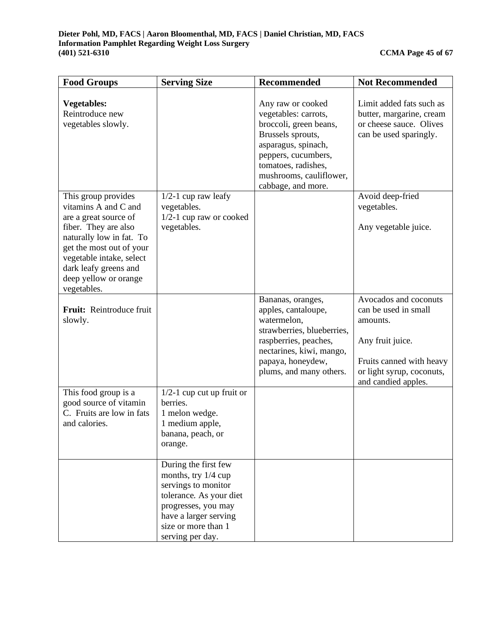| <b>Food Groups</b>                                                                                                                                                                                                                                | <b>Serving Size</b>                                                                                                                                                                      | <b>Recommended</b>                                                                                                                                                                                             | <b>Not Recommended</b>                                                                                                                                        |
|---------------------------------------------------------------------------------------------------------------------------------------------------------------------------------------------------------------------------------------------------|------------------------------------------------------------------------------------------------------------------------------------------------------------------------------------------|----------------------------------------------------------------------------------------------------------------------------------------------------------------------------------------------------------------|---------------------------------------------------------------------------------------------------------------------------------------------------------------|
| <b>Vegetables:</b><br>Reintroduce new<br>vegetables slowly.                                                                                                                                                                                       |                                                                                                                                                                                          | Any raw or cooked<br>vegetables: carrots,<br>broccoli, green beans,<br>Brussels sprouts,<br>asparagus, spinach,<br>peppers, cucumbers,<br>tomatoes, radishes,<br>mushrooms, cauliflower,<br>cabbage, and more. | Limit added fats such as<br>butter, margarine, cream<br>or cheese sauce. Olives<br>can be used sparingly.                                                     |
| This group provides<br>vitamins A and C and<br>are a great source of<br>fiber. They are also<br>naturally low in fat. To<br>get the most out of your<br>vegetable intake, select<br>dark leafy greens and<br>deep yellow or orange<br>vegetables. | $1/2-1$ cup raw leafy<br>vegetables.<br>$1/2-1$ cup raw or cooked<br>vegetables.                                                                                                         |                                                                                                                                                                                                                | Avoid deep-fried<br>vegetables.<br>Any vegetable juice.                                                                                                       |
| Fruit: Reintroduce fruit<br>slowly.                                                                                                                                                                                                               |                                                                                                                                                                                          | Bananas, oranges,<br>apples, cantaloupe,<br>watermelon,<br>strawberries, blueberries,<br>raspberries, peaches,<br>nectarines, kiwi, mango,<br>papaya, honeydew,<br>plums, and many others.                     | Avocados and coconuts<br>can be used in small<br>amounts.<br>Any fruit juice.<br>Fruits canned with heavy<br>or light syrup, coconuts,<br>and candied apples. |
| This food group is a<br>good source of vitamin<br>C. Fruits are low in fats<br>and calories.                                                                                                                                                      | $1/2$ -1 cup cut up fruit or<br>berries.<br>1 melon wedge.<br>1 medium apple,<br>banana, peach, or<br>orange.                                                                            |                                                                                                                                                                                                                |                                                                                                                                                               |
|                                                                                                                                                                                                                                                   | During the first few<br>months, try 1/4 cup<br>servings to monitor<br>tolerance. As your diet<br>progresses, you may<br>have a larger serving<br>size or more than 1<br>serving per day. |                                                                                                                                                                                                                |                                                                                                                                                               |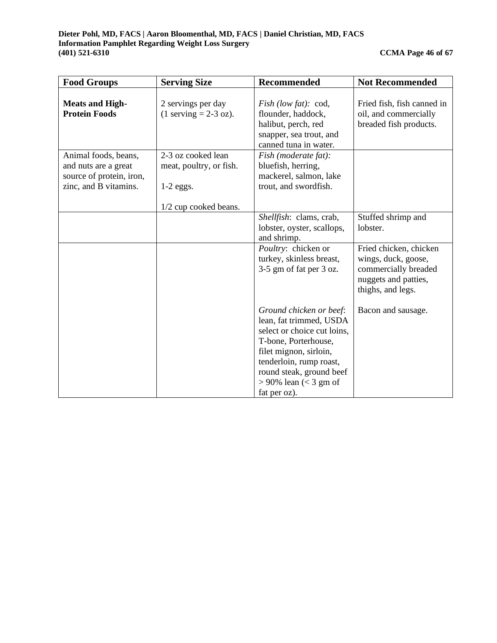| <b>Food Groups</b>                                                                                | <b>Serving Size</b>                                                                   | <b>Recommended</b>                                                                                                                                                                                                                     | <b>Not Recommended</b>                                                                                             |
|---------------------------------------------------------------------------------------------------|---------------------------------------------------------------------------------------|----------------------------------------------------------------------------------------------------------------------------------------------------------------------------------------------------------------------------------------|--------------------------------------------------------------------------------------------------------------------|
| <b>Meats and High-</b><br><b>Protein Foods</b>                                                    | 2 servings per day<br>$(1$ serving = 2-3 oz).                                         | <i>Fish</i> (low fat): cod,<br>flounder, haddock,<br>halibut, perch, red<br>snapper, sea trout, and<br>canned tuna in water.                                                                                                           | Fried fish, fish canned in<br>oil, and commercially<br>breaded fish products.                                      |
| Animal foods, beans,<br>and nuts are a great<br>source of protein, iron,<br>zinc, and B vitamins. | 2-3 oz cooked lean<br>meat, poultry, or fish.<br>$1-2$ eggs.<br>1/2 cup cooked beans. | Fish (moderate fat):<br>bluefish, herring,<br>mackerel, salmon, lake<br>trout, and swordfish.                                                                                                                                          |                                                                                                                    |
|                                                                                                   |                                                                                       | Shellfish: clams, crab,<br>lobster, oyster, scallops,<br>and shrimp.                                                                                                                                                                   | Stuffed shrimp and<br>lobster.                                                                                     |
|                                                                                                   |                                                                                       | Poultry: chicken or<br>turkey, skinless breast,<br>3-5 gm of fat per 3 oz.                                                                                                                                                             | Fried chicken, chicken<br>wings, duck, goose,<br>commercially breaded<br>nuggets and patties,<br>thighs, and legs. |
|                                                                                                   |                                                                                       | Ground chicken or beef:<br>lean, fat trimmed, USDA<br>select or choice cut loins,<br>T-bone, Porterhouse,<br>filet mignon, sirloin,<br>tenderloin, rump roast,<br>round steak, ground beef<br>$> 90\%$ lean (< 3 gm of<br>fat per oz). | Bacon and sausage.                                                                                                 |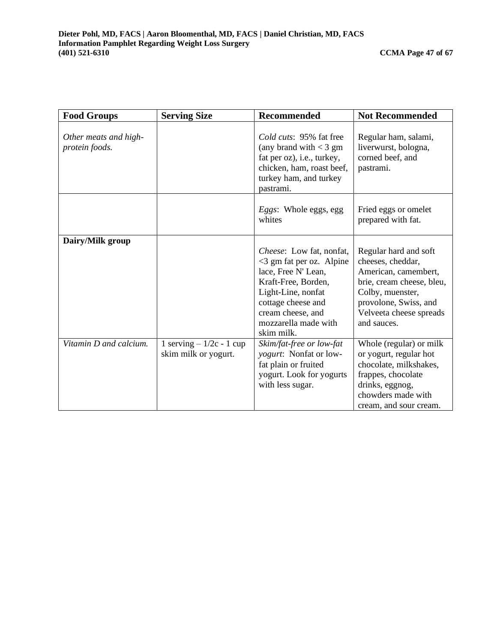| <b>Food Groups</b>                      | <b>Serving Size</b>                               | <b>Recommended</b>                                                                                                                                                                                                   | <b>Not Recommended</b>                                                                                                                                                                 |  |
|-----------------------------------------|---------------------------------------------------|----------------------------------------------------------------------------------------------------------------------------------------------------------------------------------------------------------------------|----------------------------------------------------------------------------------------------------------------------------------------------------------------------------------------|--|
| Other meats and high-<br>protein foods. |                                                   | <i>Cold cuts:</i> 95% fat free<br>(any brand with $<$ 3 gm<br>fat per oz), i.e., turkey,<br>chicken, ham, roast beef,<br>turkey ham, and turkey<br>pastrami.                                                         | Regular ham, salami,<br>liverwurst, bologna,<br>corned beef, and<br>pastrami.                                                                                                          |  |
|                                         |                                                   | <i>Eggs</i> : Whole eggs, egg<br>whites                                                                                                                                                                              | Fried eggs or omelet<br>prepared with fat.                                                                                                                                             |  |
| Dairy/Milk group                        |                                                   | <i>Cheese</i> : Low fat, nonfat,<br>$<$ 3 gm fat per oz. Alpine<br>lace, Free N' Lean,<br>Kraft-Free, Borden,<br>Light-Line, nonfat<br>cottage cheese and<br>cream cheese, and<br>mozzarella made with<br>skim milk. | Regular hard and soft<br>cheeses, cheddar,<br>American, camembert,<br>brie, cream cheese, bleu,<br>Colby, muenster,<br>provolone, Swiss, and<br>Velveeta cheese spreads<br>and sauces. |  |
| Vitamin D and calcium.                  | 1 serving $-1/2c - 1$ cup<br>skim milk or yogurt. | Skim/fat-free or low-fat<br>yogurt: Nonfat or low-<br>fat plain or fruited<br>yogurt. Look for yogurts<br>with less sugar.                                                                                           | Whole (regular) or milk<br>or yogurt, regular hot<br>chocolate, milkshakes,<br>frappes, chocolate<br>drinks, eggnog,<br>chowders made with<br>cream, and sour cream.                   |  |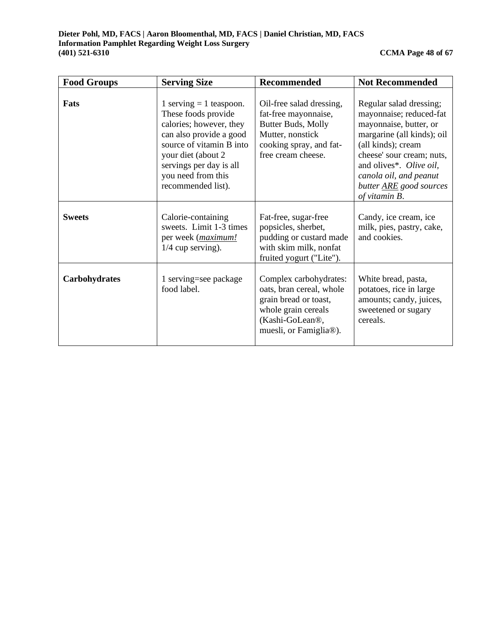| <b>Food Groups</b> | <b>Serving Size</b>                                                                                                                                                                                                              | <b>Recommended</b>                                                                                                                                           | <b>Not Recommended</b>                                                                                                                                                                                                                                                |
|--------------------|----------------------------------------------------------------------------------------------------------------------------------------------------------------------------------------------------------------------------------|--------------------------------------------------------------------------------------------------------------------------------------------------------------|-----------------------------------------------------------------------------------------------------------------------------------------------------------------------------------------------------------------------------------------------------------------------|
| Fats               | 1 serving $=$ 1 teaspoon.<br>These foods provide<br>calories; however, they<br>can also provide a good<br>source of vitamin B into<br>your diet (about 2)<br>servings per day is all<br>you need from this<br>recommended list). | Oil-free salad dressing,<br>fat-free mayonnaise,<br>Butter Buds, Molly<br>Mutter, nonstick<br>cooking spray, and fat-<br>free cream cheese.                  | Regular salad dressing;<br>mayonnaise; reduced-fat<br>mayonnaise, butter, or<br>margarine (all kinds); oil<br>(all kinds); cream<br>cheese' sour cream; nuts,<br>and olives*. Olive oil,<br>canola oil, and peanut<br>butter <b>ARE</b> good sources<br>of vitamin B. |
| <b>Sweets</b>      | Calorie-containing<br>sweets. Limit 1-3 times<br>per week (maximum!<br>$1/4$ cup serving).                                                                                                                                       | Fat-free, sugar-free<br>popsicles, sherbet,<br>pudding or custard made<br>with skim milk, nonfat<br>fruited yogurt ("Lite").                                 | Candy, ice cream, ice<br>milk, pies, pastry, cake,<br>and cookies.                                                                                                                                                                                                    |
| Carbohydrates      | 1 serving=see package<br>food label.                                                                                                                                                                                             | Complex carbohydrates:<br>oats, bran cereal, whole<br>grain bread or toast,<br>whole grain cereals<br>(Kashi-GoLean®,<br>muesli, or Famiglia <sup>®</sup> ). | White bread, pasta,<br>potatoes, rice in large<br>amounts; candy, juices,<br>sweetened or sugary<br>cereals.                                                                                                                                                          |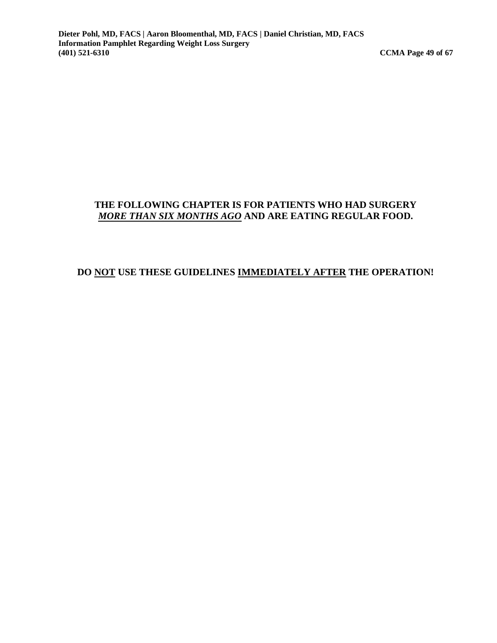#### **THE FOLLOWING CHAPTER IS FOR PATIENTS WHO HAD SURGERY**  *MORE THAN SIX MONTHS AGO* **AND ARE EATING REGULAR FOOD.**

#### **DO NOT USE THESE GUIDELINES IMMEDIATELY AFTER THE OPERATION!**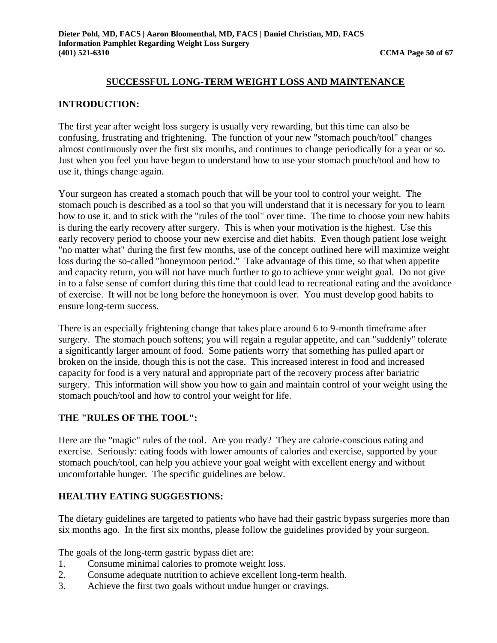#### **SUCCESSFUL LONG-TERM WEIGHT LOSS AND MAINTENANCE**

#### **INTRODUCTION:**

The first year after weight loss surgery is usually very rewarding, but this time can also be confusing, frustrating and frightening. The function of your new "stomach pouch/tool" changes almost continuously over the first six months, and continues to change periodically for a year or so. Just when you feel you have begun to understand how to use your stomach pouch/tool and how to use it, things change again.

Your surgeon has created a stomach pouch that will be your tool to control your weight. The stomach pouch is described as a tool so that you will understand that it is necessary for you to learn how to use it, and to stick with the "rules of the tool" over time. The time to choose your new habits is during the early recovery after surgery. This is when your motivation is the highest. Use this early recovery period to choose your new exercise and diet habits. Even though patient lose weight "no matter what" during the first few months, use of the concept outlined here will maximize weight loss during the so-called "honeymoon period." Take advantage of this time, so that when appetite and capacity return, you will not have much further to go to achieve your weight goal. Do not give in to a false sense of comfort during this time that could lead to recreational eating and the avoidance of exercise. It will not be long before the honeymoon is over. You must develop good habits to ensure long-term success.

There is an especially frightening change that takes place around 6 to 9-month timeframe after surgery. The stomach pouch softens; you will regain a regular appetite, and can "suddenly" tolerate a significantly larger amount of food. Some patients worry that something has pulled apart or broken on the inside, though this is not the case. This increased interest in food and increased capacity for food is a very natural and appropriate part of the recovery process after bariatric surgery. This information will show you how to gain and maintain control of your weight using the stomach pouch/tool and how to control your weight for life.

#### **THE "RULES OF THE TOOL":**

Here are the "magic" rules of the tool. Are you ready? They are calorie-conscious eating and exercise. Seriously: eating foods with lower amounts of calories and exercise, supported by your stomach pouch/tool, can help you achieve your goal weight with excellent energy and without uncomfortable hunger. The specific guidelines are below.

#### **HEALTHY EATING SUGGESTIONS:**

The dietary guidelines are targeted to patients who have had their gastric bypass surgeries more than six months ago. In the first six months, please follow the guidelines provided by your surgeon.

The goals of the long-term gastric bypass diet are:

- 1. Consume minimal calories to promote weight loss.
- 2. Consume adequate nutrition to achieve excellent long-term health.
- 3. Achieve the first two goals without undue hunger or cravings.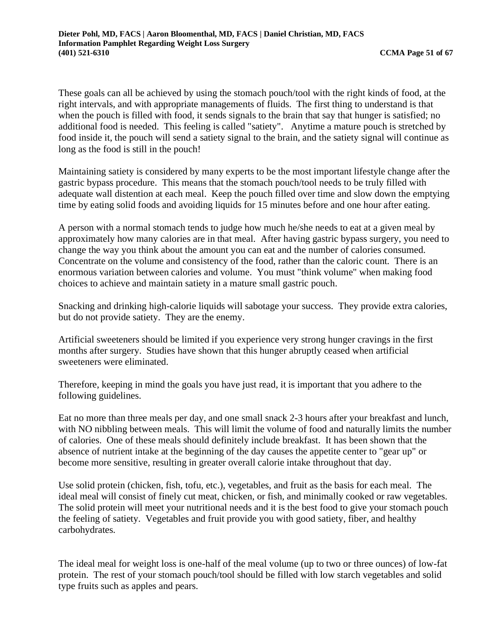These goals can all be achieved by using the stomach pouch/tool with the right kinds of food, at the right intervals, and with appropriate managements of fluids. The first thing to understand is that when the pouch is filled with food, it sends signals to the brain that say that hunger is satisfied; no additional food is needed. This feeling is called "satiety". Anytime a mature pouch is stretched by food inside it, the pouch will send a satiety signal to the brain, and the satiety signal will continue as long as the food is still in the pouch!

Maintaining satiety is considered by many experts to be the most important lifestyle change after the gastric bypass procedure. This means that the stomach pouch/tool needs to be truly filled with adequate wall distention at each meal. Keep the pouch filled over time and slow down the emptying time by eating solid foods and avoiding liquids for 15 minutes before and one hour after eating.

A person with a normal stomach tends to judge how much he/she needs to eat at a given meal by approximately how many calories are in that meal. After having gastric bypass surgery, you need to change the way you think about the amount you can eat and the number of calories consumed. Concentrate on the volume and consistency of the food, rather than the caloric count. There is an enormous variation between calories and volume. You must "think volume" when making food choices to achieve and maintain satiety in a mature small gastric pouch.

Snacking and drinking high-calorie liquids will sabotage your success. They provide extra calories, but do not provide satiety. They are the enemy.

Artificial sweeteners should be limited if you experience very strong hunger cravings in the first months after surgery. Studies have shown that this hunger abruptly ceased when artificial sweeteners were eliminated.

Therefore, keeping in mind the goals you have just read, it is important that you adhere to the following guidelines.

Eat no more than three meals per day, and one small snack 2-3 hours after your breakfast and lunch, with NO nibbling between meals. This will limit the volume of food and naturally limits the number of calories. One of these meals should definitely include breakfast. It has been shown that the absence of nutrient intake at the beginning of the day causes the appetite center to "gear up" or become more sensitive, resulting in greater overall calorie intake throughout that day.

Use solid protein (chicken, fish, tofu, etc.), vegetables, and fruit as the basis for each meal. The ideal meal will consist of finely cut meat, chicken, or fish, and minimally cooked or raw vegetables. The solid protein will meet your nutritional needs and it is the best food to give your stomach pouch the feeling of satiety. Vegetables and fruit provide you with good satiety, fiber, and healthy carbohydrates.

The ideal meal for weight loss is one-half of the meal volume (up to two or three ounces) of low-fat protein. The rest of your stomach pouch/tool should be filled with low starch vegetables and solid type fruits such as apples and pears.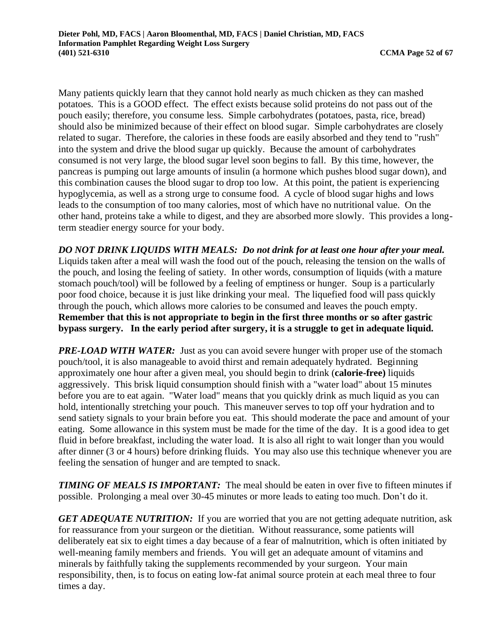Many patients quickly learn that they cannot hold nearly as much chicken as they can mashed potatoes. This is a GOOD effect. The effect exists because solid proteins do not pass out of the pouch easily; therefore, you consume less. Simple carbohydrates (potatoes, pasta, rice, bread) should also be minimized because of their effect on blood sugar. Simple carbohydrates are closely related to sugar. Therefore, the calories in these foods are easily absorbed and they tend to "rush" into the system and drive the blood sugar up quickly. Because the amount of carbohydrates consumed is not very large, the blood sugar level soon begins to fall. By this time, however, the pancreas is pumping out large amounts of insulin (a hormone which pushes blood sugar down), and this combination causes the blood sugar to drop too low. At this point, the patient is experiencing hypoglycemia, as well as a strong urge to consume food. A cycle of blood sugar highs and lows leads to the consumption of too many calories, most of which have no nutritional value. On the other hand, proteins take a while to digest, and they are absorbed more slowly. This provides a longterm steadier energy source for your body.

*DO NOT DRINK LIQUIDS WITH MEALS: Do not drink for at least one hour after your meal.*  Liquids taken after a meal will wash the food out of the pouch, releasing the tension on the walls of the pouch, and losing the feeling of satiety. In other words, consumption of liquids (with a mature stomach pouch/tool) will be followed by a feeling of emptiness or hunger. Soup is a particularly poor food choice, because it is just like drinking your meal. The liquefied food will pass quickly through the pouch, which allows more calories to be consumed and leaves the pouch empty. **Remember that this is not appropriate to begin in the first three months or so after gastric bypass surgery. In the early period after surgery, it is a struggle to get in adequate liquid.** 

*PRE-LOAD WITH WATER:* Just as you can avoid severe hunger with proper use of the stomach pouch/tool, it is also manageable to avoid thirst and remain adequately hydrated. Beginning approximately one hour after a given meal, you should begin to drink (**calorie-free)** liquids aggressively. This brisk liquid consumption should finish with a "water load" about 15 minutes before you are to eat again. "Water load" means that you quickly drink as much liquid as you can hold, intentionally stretching your pouch. This maneuver serves to top off your hydration and to send satiety signals to your brain before you eat. This should moderate the pace and amount of your eating. Some allowance in this system must be made for the time of the day. It is a good idea to get fluid in before breakfast, including the water load. It is also all right to wait longer than you would after dinner (3 or 4 hours) before drinking fluids. You may also use this technique whenever you are feeling the sensation of hunger and are tempted to snack.

*TIMING OF MEALS IS IMPORTANT:* The meal should be eaten in over five to fifteen minutes if possible. Prolonging a meal over 30-45 minutes or more leads to eating too much. Don't do it.

*GET ADEQUATE NUTRITION:* If you are worried that you are not getting adequate nutrition, ask for reassurance from your surgeon or the dietitian. Without reassurance, some patients will deliberately eat six to eight times a day because of a fear of malnutrition, which is often initiated by well-meaning family members and friends. You will get an adequate amount of vitamins and minerals by faithfully taking the supplements recommended by your surgeon. Your main responsibility, then, is to focus on eating low-fat animal source protein at each meal three to four times a day.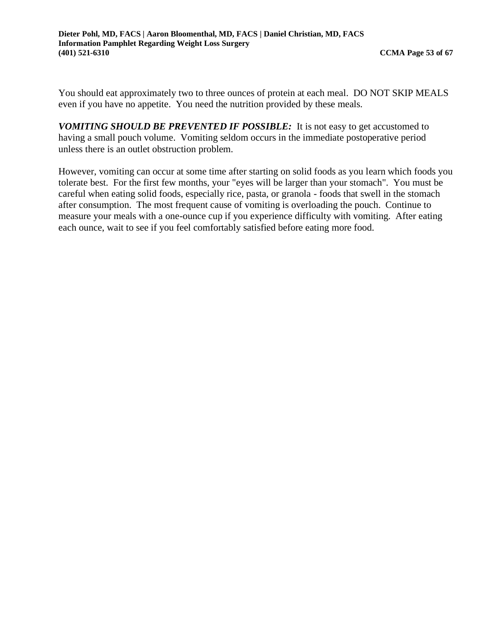You should eat approximately two to three ounces of protein at each meal. DO NOT SKIP MEALS even if you have no appetite. You need the nutrition provided by these meals.

*VOMITING SHOULD BE PREVENTED IF POSSIBLE:* It is not easy to get accustomed to having a small pouch volume. Vomiting seldom occurs in the immediate postoperative period unless there is an outlet obstruction problem.

However, vomiting can occur at some time after starting on solid foods as you learn which foods you tolerate best. For the first few months, your "eyes will be larger than your stomach". You must be careful when eating solid foods, especially rice, pasta, or granola - foods that swell in the stomach after consumption. The most frequent cause of vomiting is overloading the pouch. Continue to measure your meals with a one-ounce cup if you experience difficulty with vomiting. After eating each ounce, wait to see if you feel comfortably satisfied before eating more food.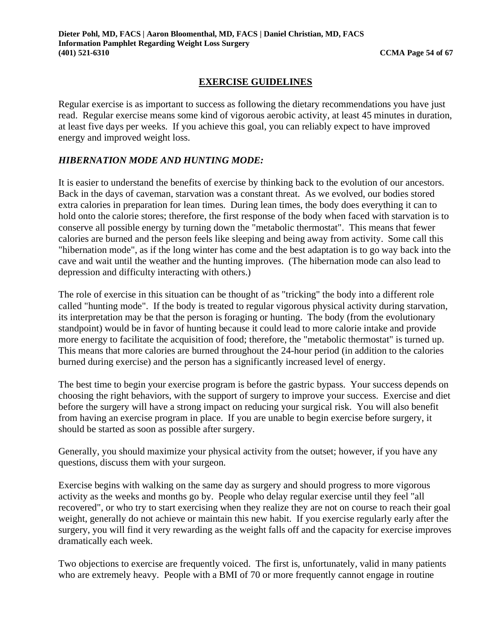#### **EXERCISE GUIDELINES**

Regular exercise is as important to success as following the dietary recommendations you have just read. Regular exercise means some kind of vigorous aerobic activity, at least 45 minutes in duration, at least five days per weeks. If you achieve this goal, you can reliably expect to have improved energy and improved weight loss.

#### *HIBERNATION MODE AND HUNTING MODE:*

It is easier to understand the benefits of exercise by thinking back to the evolution of our ancestors. Back in the days of caveman, starvation was a constant threat. As we evolved, our bodies stored extra calories in preparation for lean times. During lean times, the body does everything it can to hold onto the calorie stores; therefore, the first response of the body when faced with starvation is to conserve all possible energy by turning down the "metabolic thermostat". This means that fewer calories are burned and the person feels like sleeping and being away from activity. Some call this "hibernation mode", as if the long winter has come and the best adaptation is to go way back into the cave and wait until the weather and the hunting improves. (The hibernation mode can also lead to depression and difficulty interacting with others.)

The role of exercise in this situation can be thought of as "tricking" the body into a different role called "hunting mode". If the body is treated to regular vigorous physical activity during starvation, its interpretation may be that the person is foraging or hunting. The body (from the evolutionary standpoint) would be in favor of hunting because it could lead to more calorie intake and provide more energy to facilitate the acquisition of food; therefore, the "metabolic thermostat" is turned up. This means that more calories are burned throughout the 24-hour period (in addition to the calories burned during exercise) and the person has a significantly increased level of energy.

The best time to begin your exercise program is before the gastric bypass. Your success depends on choosing the right behaviors, with the support of surgery to improve your success. Exercise and diet before the surgery will have a strong impact on reducing your surgical risk. You will also benefit from having an exercise program in place. If you are unable to begin exercise before surgery, it should be started as soon as possible after surgery.

Generally, you should maximize your physical activity from the outset; however, if you have any questions, discuss them with your surgeon.

Exercise begins with walking on the same day as surgery and should progress to more vigorous activity as the weeks and months go by. People who delay regular exercise until they feel "all recovered", or who try to start exercising when they realize they are not on course to reach their goal weight, generally do not achieve or maintain this new habit. If you exercise regularly early after the surgery, you will find it very rewarding as the weight falls off and the capacity for exercise improves dramatically each week.

Two objections to exercise are frequently voiced. The first is, unfortunately, valid in many patients who are extremely heavy. People with a BMI of 70 or more frequently cannot engage in routine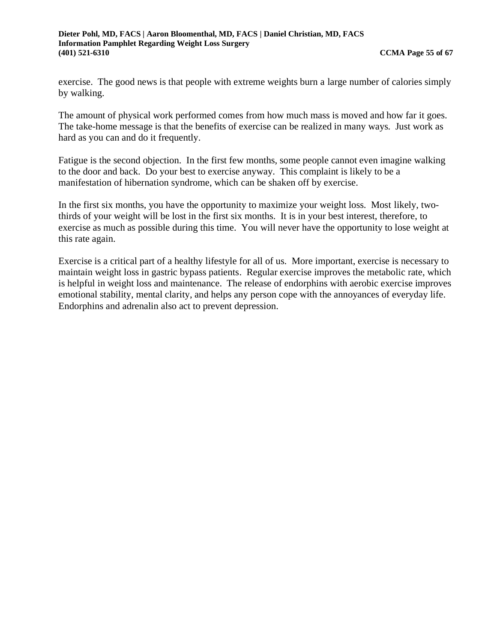exercise. The good news is that people with extreme weights burn a large number of calories simply by walking.

The amount of physical work performed comes from how much mass is moved and how far it goes. The take-home message is that the benefits of exercise can be realized in many ways. Just work as hard as you can and do it frequently.

Fatigue is the second objection. In the first few months, some people cannot even imagine walking to the door and back. Do your best to exercise anyway. This complaint is likely to be a manifestation of hibernation syndrome, which can be shaken off by exercise.

In the first six months, you have the opportunity to maximize your weight loss. Most likely, twothirds of your weight will be lost in the first six months. It is in your best interest, therefore, to exercise as much as possible during this time. You will never have the opportunity to lose weight at this rate again.

Exercise is a critical part of a healthy lifestyle for all of us. More important, exercise is necessary to maintain weight loss in gastric bypass patients. Regular exercise improves the metabolic rate, which is helpful in weight loss and maintenance. The release of endorphins with aerobic exercise improves emotional stability, mental clarity, and helps any person cope with the annoyances of everyday life. Endorphins and adrenalin also act to prevent depression.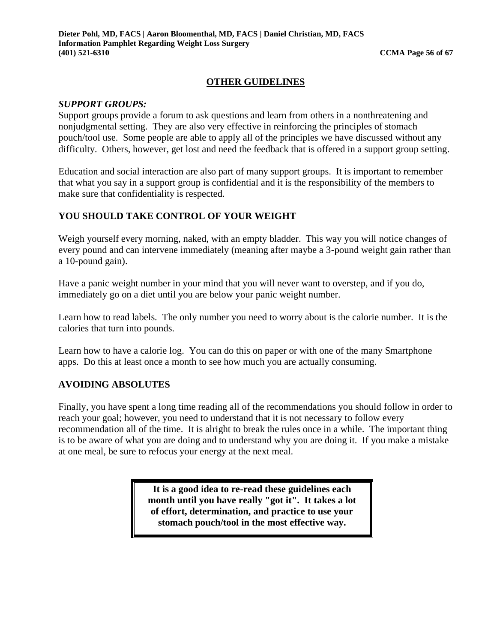#### **OTHER GUIDELINES**

#### *SUPPORT GROUPS:*

Support groups provide a forum to ask questions and learn from others in a nonthreatening and nonjudgmental setting. They are also very effective in reinforcing the principles of stomach pouch/tool use. Some people are able to apply all of the principles we have discussed without any difficulty. Others, however, get lost and need the feedback that is offered in a support group setting.

Education and social interaction are also part of many support groups. It is important to remember that what you say in a support group is confidential and it is the responsibility of the members to make sure that confidentiality is respected.

#### **YOU SHOULD TAKE CONTROL OF YOUR WEIGHT**

Weigh yourself every morning, naked, with an empty bladder. This way you will notice changes of every pound and can intervene immediately (meaning after maybe a 3-pound weight gain rather than a 10-pound gain).

Have a panic weight number in your mind that you will never want to overstep, and if you do, immediately go on a diet until you are below your panic weight number.

Learn how to read labels. The only number you need to worry about is the calorie number. It is the calories that turn into pounds.

Learn how to have a calorie log. You can do this on paper or with one of the many Smartphone apps. Do this at least once a month to see how much you are actually consuming.

#### **AVOIDING ABSOLUTES**

Finally, you have spent a long time reading all of the recommendations you should follow in order to reach your goal; however, you need to understand that it is not necessary to follow every recommendation all of the time. It is alright to break the rules once in a while. The important thing is to be aware of what you are doing and to understand why you are doing it. If you make a mistake at one meal, be sure to refocus your energy at the next meal.

> **It is a good idea to re-read these guidelines each month until you have really "got it". It takes a lot of effort, determination, and practice to use your stomach pouch/tool in the most effective way.**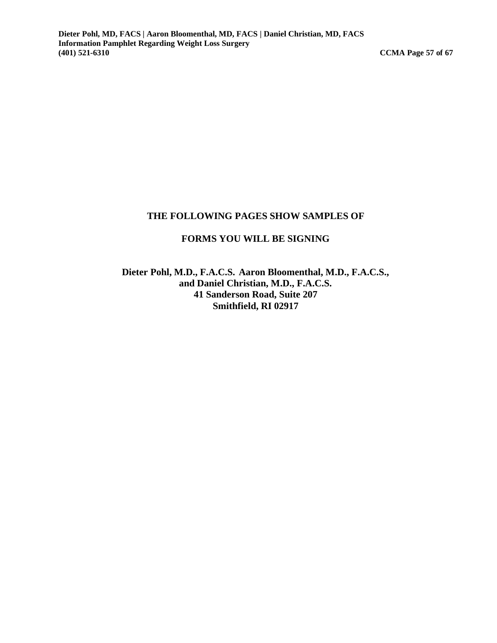#### **THE FOLLOWING PAGES SHOW SAMPLES OF**

#### **FORMS YOU WILL BE SIGNING**

**Dieter Pohl, M.D., F.A.C.S. Aaron Bloomenthal, M.D., F.A.C.S., and Daniel Christian, M.D., F.A.C.S. 41 Sanderson Road, Suite 207 Smithfield, RI 02917**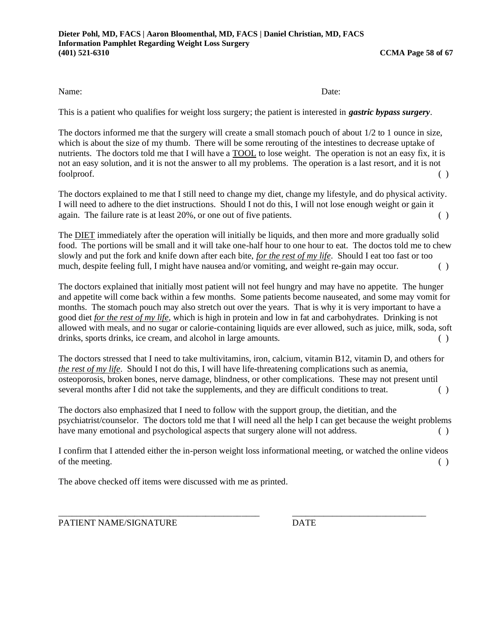This is a patient who qualifies for weight loss surgery; the patient is interested in *gastric bypass surgery*.

The doctors informed me that the surgery will create a small stomach pouch of about 1/2 to 1 ounce in size, which is about the size of my thumb. There will be some rerouting of the intestines to decrease uptake of nutrients. The doctors told me that I will have a TOOL to lose weight. The operation is not an easy fix, it is not an easy solution, and it is not the answer to all my problems. The operation is a last resort, and it is not foolproof. ( )

The doctors explained to me that I still need to change my diet, change my lifestyle, and do physical activity. I will need to adhere to the diet instructions. Should I not do this, I will not lose enough weight or gain it again. The failure rate is at least 20%, or one out of five patients. ( )

The DIET immediately after the operation will initially be liquids, and then more and more gradually solid food. The portions will be small and it will take one-half hour to one hour to eat. The doctos told me to chew slowly and put the fork and knife down after each bite, *for the rest of my life*. Should I eat too fast or too much, despite feeling full, I might have nausea and/or vomiting, and weight re-gain may occur. ( )

The doctors explained that initially most patient will not feel hungry and may have no appetite. The hunger and appetite will come back within a few months. Some patients become nauseated, and some may vomit for months. The stomach pouch may also stretch out over the years. That is why it is very important to have a good diet *for the rest of my life*, which is high in protein and low in fat and carbohydrates. Drinking is not allowed with meals, and no sugar or calorie-containing liquids are ever allowed, such as juice, milk, soda, soft drinks, sports drinks, ice cream, and alcohol in large amounts. ( )

The doctors stressed that I need to take multivitamins, iron, calcium, vitamin B12, vitamin D, and others for *the rest of my life*. Should I not do this, I will have life-threatening complications such as anemia, osteoporosis, broken bones, nerve damage, blindness, or other complications. These may not present until several months after I did not take the supplements, and they are difficult conditions to treat.

The doctors also emphasized that I need to follow with the support group, the dietitian, and the psychiatrist/counselor. The doctors told me that I will need all the help I can get because the weight problems have many emotional and psychological aspects that surgery alone will not address. ()

I confirm that I attended either the in-person weight loss informational meeting, or watched the online videos of the meeting. ( )

\_\_\_\_\_\_\_\_\_\_\_\_\_\_\_\_\_\_\_\_\_\_\_\_\_\_\_\_\_\_\_\_\_\_\_\_\_\_\_\_\_\_\_\_\_ \_\_\_\_\_\_\_\_\_\_\_\_\_\_\_\_\_\_\_\_\_\_\_\_\_\_\_\_\_\_

The above checked off items were discussed with me as printed.

PATIENT NAME/SIGNATURE DATE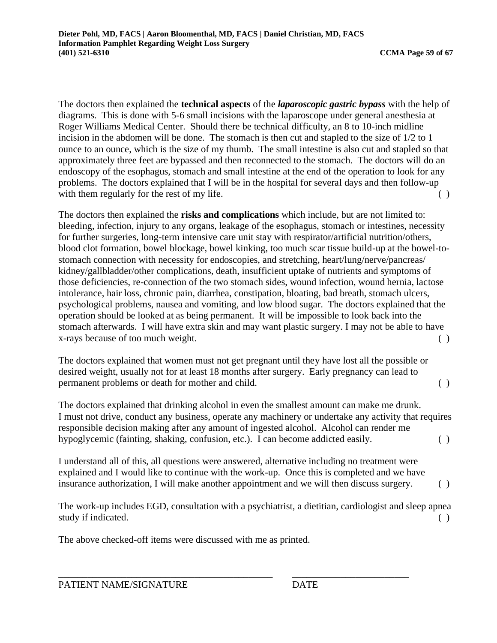The doctors then explained the **technical aspects** of the *laparoscopic gastric bypass* with the help of diagrams. This is done with 5-6 small incisions with the laparoscope under general anesthesia at Roger Williams Medical Center. Should there be technical difficulty, an 8 to 10-inch midline incision in the abdomen will be done. The stomach is then cut and stapled to the size of 1/2 to 1 ounce to an ounce, which is the size of my thumb. The small intestine is also cut and stapled so that approximately three feet are bypassed and then reconnected to the stomach. The doctors will do an endoscopy of the esophagus, stomach and small intestine at the end of the operation to look for any problems. The doctors explained that I will be in the hospital for several days and then follow-up with them regularly for the rest of my life. ( )

The doctors then explained the **risks and complications** which include, but are not limited to: bleeding, infection, injury to any organs, leakage of the esophagus, stomach or intestines, necessity for further surgeries, long-term intensive care unit stay with respirator/artificial nutrition/others, blood clot formation, bowel blockage, bowel kinking, too much scar tissue build-up at the bowel-tostomach connection with necessity for endoscopies, and stretching, heart/lung/nerve/pancreas/ kidney/gallbladder/other complications, death, insufficient uptake of nutrients and symptoms of those deficiencies, re-connection of the two stomach sides, wound infection, wound hernia, lactose intolerance, hair loss, chronic pain, diarrhea, constipation, bloating, bad breath, stomach ulcers, psychological problems, nausea and vomiting, and low blood sugar. The doctors explained that the operation should be looked at as being permanent. It will be impossible to look back into the stomach afterwards. I will have extra skin and may want plastic surgery. I may not be able to have x-rays because of too much weight. ( )

The doctors explained that women must not get pregnant until they have lost all the possible or desired weight, usually not for at least 18 months after surgery. Early pregnancy can lead to permanent problems or death for mother and child. ( )

The doctors explained that drinking alcohol in even the smallest amount can make me drunk. I must not drive, conduct any business, operate any machinery or undertake any activity that requires responsible decision making after any amount of ingested alcohol. Alcohol can render me hypoglycemic (fainting, shaking, confusion, etc.). I can become addicted easily. ( )

I understand all of this, all questions were answered, alternative including no treatment were explained and I would like to continue with the work-up. Once this is completed and we have insurance authorization, I will make another appointment and we will then discuss surgery. ( )

The work-up includes EGD, consultation with a psychiatrist, a dietitian, cardiologist and sleep apnea study if indicated. ( )

\_\_\_\_\_\_\_\_\_\_\_\_\_\_\_\_\_\_\_\_\_\_\_\_\_\_\_\_\_\_\_\_\_\_\_\_\_\_\_\_\_\_\_\_ \_\_\_\_\_\_\_\_\_\_\_\_\_\_\_\_\_\_\_\_\_\_\_\_

The above checked-off items were discussed with me as printed.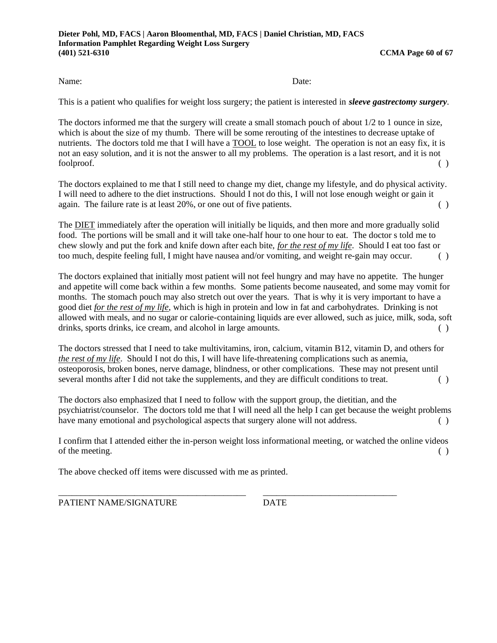This is a patient who qualifies for weight loss surgery; the patient is interested in *sleeve gastrectomy surgery*.

The doctors informed me that the surgery will create a small stomach pouch of about 1/2 to 1 ounce in size, which is about the size of my thumb. There will be some rerouting of the intestines to decrease uptake of nutrients. The doctors told me that I will have a TOOL to lose weight. The operation is not an easy fix, it is not an easy solution, and it is not the answer to all my problems. The operation is a last resort, and it is not foolproof. ( )

The doctors explained to me that I still need to change my diet, change my lifestyle, and do physical activity. I will need to adhere to the diet instructions. Should I not do this, I will not lose enough weight or gain it again. The failure rate is at least 20%, or one out of five patients. ( )

The DIET immediately after the operation will initially be liquids, and then more and more gradually solid food. The portions will be small and it will take one-half hour to one hour to eat. The doctor s told me to chew slowly and put the fork and knife down after each bite, *for the rest of my life*. Should I eat too fast or too much, despite feeling full, I might have nausea and/or vomiting, and weight re-gain may occur. ( )

The doctors explained that initially most patient will not feel hungry and may have no appetite. The hunger and appetite will come back within a few months. Some patients become nauseated, and some may vomit for months. The stomach pouch may also stretch out over the years. That is why it is very important to have a good diet *for the rest of my life*, which is high in protein and low in fat and carbohydrates. Drinking is not allowed with meals, and no sugar or calorie-containing liquids are ever allowed, such as juice, milk, soda, soft drinks, sports drinks, ice cream, and alcohol in large amounts. ( )

The doctors stressed that I need to take multivitamins, iron, calcium, vitamin B12, vitamin D, and others for *the rest of my life*. Should I not do this, I will have life-threatening complications such as anemia, osteoporosis, broken bones, nerve damage, blindness, or other complications. These may not present until several months after I did not take the supplements, and they are difficult conditions to treat. ()

The doctors also emphasized that I need to follow with the support group, the dietitian, and the psychiatrist/counselor. The doctors told me that I will need all the help I can get because the weight problems have many emotional and psychological aspects that surgery alone will not address. ( )

I confirm that I attended either the in-person weight loss informational meeting, or watched the online videos of the meeting. ( )

\_\_\_\_\_\_\_\_\_\_\_\_\_\_\_\_\_\_\_\_\_\_\_\_\_\_\_\_\_\_\_\_\_\_\_\_\_\_\_\_\_\_ \_\_\_\_\_\_\_\_\_\_\_\_\_\_\_\_\_\_\_\_\_\_\_\_\_\_\_\_\_\_

The above checked off items were discussed with me as printed.

PATIENT NAME/SIGNATURE DATE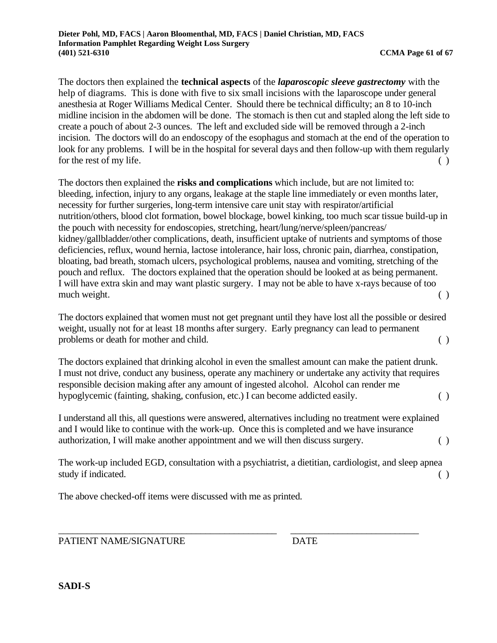The doctors then explained the **technical aspects** of the *laparoscopic sleeve gastrectomy* with the help of diagrams. This is done with five to six small incisions with the laparoscope under general anesthesia at Roger Williams Medical Center. Should there be technical difficulty; an 8 to 10-inch midline incision in the abdomen will be done. The stomach is then cut and stapled along the left side to create a pouch of about 2-3 ounces. The left and excluded side will be removed through a 2-inch incision. The doctors will do an endoscopy of the esophagus and stomach at the end of the operation to look for any problems. I will be in the hospital for several days and then follow-up with them regularly for the rest of my life. ( )

The doctors then explained the **risks and complications** which include, but are not limited to: bleeding, infection, injury to any organs, leakage at the staple line immediately or even months later, necessity for further surgeries, long-term intensive care unit stay with respirator/artificial nutrition/others, blood clot formation, bowel blockage, bowel kinking, too much scar tissue build-up in the pouch with necessity for endoscopies, stretching, heart/lung/nerve/spleen/pancreas/ kidney/gallbladder/other complications, death, insufficient uptake of nutrients and symptoms of those deficiencies, reflux, wound hernia, lactose intolerance, hair loss, chronic pain, diarrhea, constipation, bloating, bad breath, stomach ulcers, psychological problems, nausea and vomiting, stretching of the pouch and reflux. The doctors explained that the operation should be looked at as being permanent. I will have extra skin and may want plastic surgery. I may not be able to have x-rays because of too much weight. ( )

The doctors explained that women must not get pregnant until they have lost all the possible or desired weight, usually not for at least 18 months after surgery. Early pregnancy can lead to permanent problems or death for mother and child. ( )

The doctors explained that drinking alcohol in even the smallest amount can make the patient drunk. I must not drive, conduct any business, operate any machinery or undertake any activity that requires responsible decision making after any amount of ingested alcohol. Alcohol can render me hypoglycemic (fainting, shaking, confusion, etc.) I can become addicted easily. ( )

I understand all this, all questions were answered, alternatives including no treatment were explained and I would like to continue with the work-up. Once this is completed and we have insurance authorization, I will make another appointment and we will then discuss surgery. ( )

The work-up included EGD, consultation with a psychiatrist, a dietitian, cardiologist, and sleep apnea study if indicated. ( )

The above checked-off items were discussed with me as printed.

PATIENT NAME/SIGNATURE DATE

\_\_\_\_\_\_\_\_\_\_\_\_\_\_\_\_\_\_\_\_\_\_\_\_\_\_\_\_\_\_\_\_\_\_\_\_\_\_\_\_\_\_\_\_\_\_ \_\_\_\_\_\_\_\_\_\_\_\_\_\_\_\_\_\_\_\_\_\_\_\_\_\_\_

**SADI-S**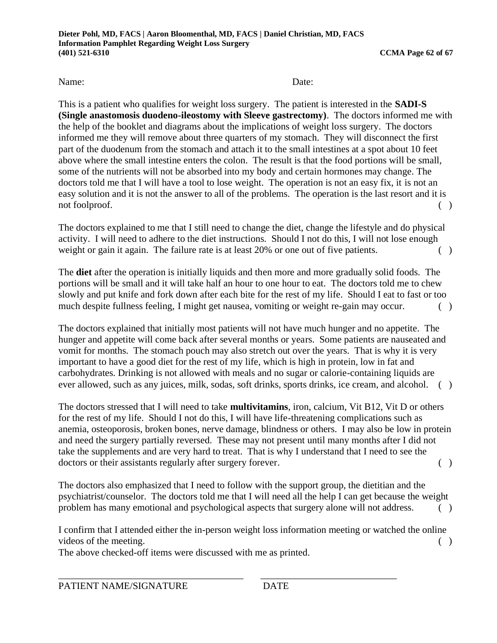This is a patient who qualifies for weight loss surgery. The patient is interested in the **SADI-S (Single anastomosis duodeno-ileostomy with Sleeve gastrectomy)**. The doctors informed me with the help of the booklet and diagrams about the implications of weight loss surgery. The doctors informed me they will remove about three quarters of my stomach. They will disconnect the first part of the duodenum from the stomach and attach it to the small intestines at a spot about 10 feet above where the small intestine enters the colon. The result is that the food portions will be small, some of the nutrients will not be absorbed into my body and certain hormones may change. The doctors told me that I will have a tool to lose weight. The operation is not an easy fix, it is not an easy solution and it is not the answer to all of the problems. The operation is the last resort and it is not foolproof. ( )

The doctors explained to me that I still need to change the diet, change the lifestyle and do physical activity. I will need to adhere to the diet instructions. Should I not do this, I will not lose enough weight or gain it again. The failure rate is at least 20% or one out of five patients. ()

The **diet** after the operation is initially liquids and then more and more gradually solid foods. The portions will be small and it will take half an hour to one hour to eat. The doctors told me to chew slowly and put knife and fork down after each bite for the rest of my life. Should I eat to fast or too much despite fullness feeling, I might get nausea, vomiting or weight re-gain may occur. ()

The doctors explained that initially most patients will not have much hunger and no appetite. The hunger and appetite will come back after several months or years. Some patients are nauseated and vomit for months. The stomach pouch may also stretch out over the years. That is why it is very important to have a good diet for the rest of my life, which is high in protein, low in fat and carbohydrates. Drinking is not allowed with meals and no sugar or calorie-containing liquids are ever allowed, such as any juices, milk, sodas, soft drinks, sports drinks, ice cream, and alcohol. ( )

The doctors stressed that I will need to take **multivitamins**, iron, calcium, Vit B12, Vit D or others for the rest of my life. Should I not do this, I will have life-threatening complications such as anemia, osteoporosis, broken bones, nerve damage, blindness or others. I may also be low in protein and need the surgery partially reversed. These may not present until many months after I did not take the supplements and are very hard to treat. That is why I understand that I need to see the doctors or their assistants regularly after surgery forever. ()

The doctors also emphasized that I need to follow with the support group, the dietitian and the psychiatrist/counselor. The doctors told me that I will need all the help I can get because the weight problem has many emotional and psychological aspects that surgery alone will not address. ( )

I confirm that I attended either the in-person weight loss information meeting or watched the online videos of the meeting.  $\qquad \qquad ( \qquad )$ 

\_\_\_\_\_\_\_\_\_\_\_\_\_\_\_\_\_\_\_\_\_\_\_\_\_\_\_\_\_\_\_\_\_\_\_\_\_\_ \_\_\_\_\_\_\_\_\_\_\_\_\_\_\_\_\_\_\_\_\_\_\_\_\_\_\_\_

The above checked-off items were discussed with me as printed.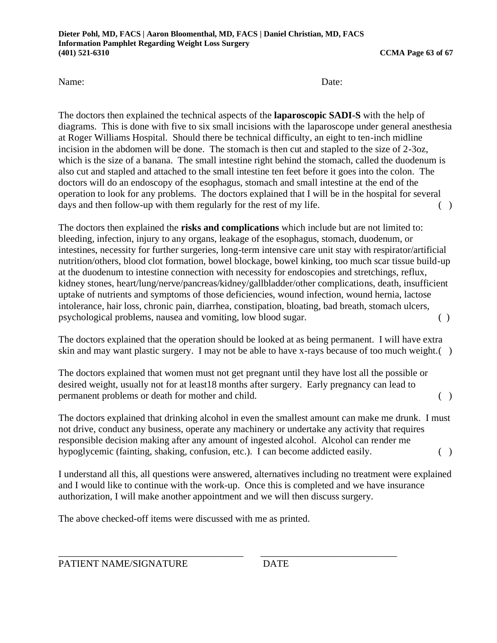The doctors then explained the technical aspects of the **laparoscopic SADI-S** with the help of diagrams. This is done with five to six small incisions with the laparoscope under general anesthesia at Roger Williams Hospital. Should there be technical difficulty, an eight to ten-inch midline incision in the abdomen will be done. The stomach is then cut and stapled to the size of 2-3oz, which is the size of a banana. The small intestine right behind the stomach, called the duodenum is also cut and stapled and attached to the small intestine ten feet before it goes into the colon. The doctors will do an endoscopy of the esophagus, stomach and small intestine at the end of the operation to look for any problems. The doctors explained that I will be in the hospital for several days and then follow-up with them regularly for the rest of my life.  $( )$ 

The doctors then explained the **risks and complications** which include but are not limited to: bleeding, infection, injury to any organs, leakage of the esophagus, stomach, duodenum, or intestines, necessity for further surgeries, long-term intensive care unit stay with respirator/artificial nutrition/others, blood clot formation, bowel blockage, bowel kinking, too much scar tissue build-up at the duodenum to intestine connection with necessity for endoscopies and stretchings, reflux, kidney stones, heart/lung/nerve/pancreas/kidney/gallbladder/other complications, death, insufficient uptake of nutrients and symptoms of those deficiencies, wound infection, wound hernia, lactose intolerance, hair loss, chronic pain, diarrhea, constipation, bloating, bad breath, stomach ulcers, psychological problems, nausea and vomiting, low blood sugar. ( )

The doctors explained that the operation should be looked at as being permanent. I will have extra skin and may want plastic surgery. I may not be able to have x-rays because of too much weight.( )

The doctors explained that women must not get pregnant until they have lost all the possible or desired weight, usually not for at least18 months after surgery. Early pregnancy can lead to permanent problems or death for mother and child. ( )

The doctors explained that drinking alcohol in even the smallest amount can make me drunk. I must not drive, conduct any business, operate any machinery or undertake any activity that requires responsible decision making after any amount of ingested alcohol. Alcohol can render me hypoglycemic (fainting, shaking, confusion, etc.). I can become addicted easily. ()

I understand all this, all questions were answered, alternatives including no treatment were explained and I would like to continue with the work-up. Once this is completed and we have insurance authorization, I will make another appointment and we will then discuss surgery.

\_\_\_\_\_\_\_\_\_\_\_\_\_\_\_\_\_\_\_\_\_\_\_\_\_\_\_\_\_\_\_\_\_\_\_\_\_\_ \_\_\_\_\_\_\_\_\_\_\_\_\_\_\_\_\_\_\_\_\_\_\_\_\_\_\_\_

The above checked-off items were discussed with me as printed.

PATIENT NAME/SIGNATURE DATE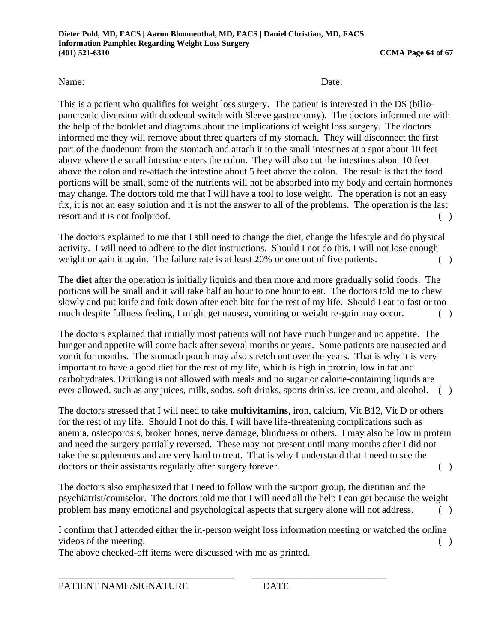This is a patient who qualifies for weight loss surgery. The patient is interested in the DS (biliopancreatic diversion with duodenal switch with Sleeve gastrectomy). The doctors informed me with the help of the booklet and diagrams about the implications of weight loss surgery. The doctors informed me they will remove about three quarters of my stomach. They will disconnect the first part of the duodenum from the stomach and attach it to the small intestines at a spot about 10 feet above where the small intestine enters the colon. They will also cut the intestines about 10 feet above the colon and re-attach the intestine about 5 feet above the colon. The result is that the food portions will be small, some of the nutrients will not be absorbed into my body and certain hormones may change. The doctors told me that I will have a tool to lose weight. The operation is not an easy fix, it is not an easy solution and it is not the answer to all of the problems. The operation is the last resort and it is not foolproof. ( )

The doctors explained to me that I still need to change the diet, change the lifestyle and do physical activity. I will need to adhere to the diet instructions. Should I not do this, I will not lose enough weight or gain it again. The failure rate is at least 20% or one out of five patients.

The **diet** after the operation is initially liquids and then more and more gradually solid foods. The portions will be small and it will take half an hour to one hour to eat. The doctors told me to chew slowly and put knife and fork down after each bite for the rest of my life. Should I eat to fast or too much despite fullness feeling, I might get nausea, vomiting or weight re-gain may occur. ( )

The doctors explained that initially most patients will not have much hunger and no appetite. The hunger and appetite will come back after several months or years. Some patients are nauseated and vomit for months. The stomach pouch may also stretch out over the years. That is why it is very important to have a good diet for the rest of my life, which is high in protein, low in fat and carbohydrates. Drinking is not allowed with meals and no sugar or calorie-containing liquids are ever allowed, such as any juices, milk, sodas, soft drinks, sports drinks, ice cream, and alcohol. ( )

The doctors stressed that I will need to take **multivitamins**, iron, calcium, Vit B12, Vit D or others for the rest of my life. Should I not do this, I will have life-threatening complications such as anemia, osteoporosis, broken bones, nerve damage, blindness or others. I may also be low in protein and need the surgery partially reversed. These may not present until many months after I did not take the supplements and are very hard to treat. That is why I understand that I need to see the doctors or their assistants regularly after surgery forever. ()

The doctors also emphasized that I need to follow with the support group, the dietitian and the psychiatrist/counselor. The doctors told me that I will need all the help I can get because the weight problem has many emotional and psychological aspects that surgery alone will not address. ()

I confirm that I attended either the in-person weight loss information meeting or watched the online videos of the meeting.  $\qquad \qquad ( \qquad )$ 

\_\_\_\_\_\_\_\_\_\_\_\_\_\_\_\_\_\_\_\_\_\_\_\_\_\_\_\_\_\_\_\_\_\_\_\_ \_\_\_\_\_\_\_\_\_\_\_\_\_\_\_\_\_\_\_\_\_\_\_\_\_\_\_\_

The above checked-off items were discussed with me as printed.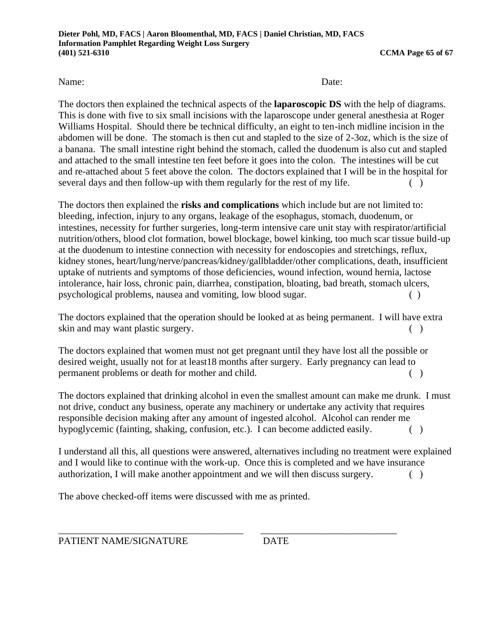The doctors then explained the technical aspects of the **laparoscopic DS** with the help of diagrams. This is done with five to six small incisions with the laparoscope under general anesthesia at Roger Williams Hospital. Should there be technical difficulty, an eight to ten-inch midline incision in the abdomen will be done. The stomach is then cut and stapled to the size of 2-3oz, which is the size of a banana. The small intestine right behind the stomach, called the duodenum is also cut and stapled and attached to the small intestine ten feet before it goes into the colon. The intestines will be cut and re-attached about 5 feet above the colon. The doctors explained that I will be in the hospital for several days and then follow-up with them regularly for the rest of my life.  $( )$ 

The doctors then explained the **risks and complications** which include but are not limited to: bleeding, infection, injury to any organs, leakage of the esophagus, stomach, duodenum, or intestines, necessity for further surgeries, long-term intensive care unit stay with respirator/artificial nutrition/others, blood clot formation, bowel blockage, bowel kinking, too much scar tissue build-up at the duodenum to intestine connection with necessity for endoscopies and stretchings, reflux, kidney stones, heart/lung/nerve/pancreas/kidney/gallbladder/other complications, death, insufficient uptake of nutrients and symptoms of those deficiencies, wound infection, wound hernia, lactose intolerance, hair loss, chronic pain, diarrhea, constipation, bloating, bad breath, stomach ulcers, psychological problems, nausea and vomiting, low blood sugar. ( )

The doctors explained that the operation should be looked at as being permanent. I will have extra skin and may want plastic surgery. (a)

The doctors explained that women must not get pregnant until they have lost all the possible or desired weight, usually not for at least18 months after surgery. Early pregnancy can lead to permanent problems or death for mother and child. ( )

The doctors explained that drinking alcohol in even the smallest amount can make me drunk. I must not drive, conduct any business, operate any machinery or undertake any activity that requires responsible decision making after any amount of ingested alcohol. Alcohol can render me hypoglycemic (fainting, shaking, confusion, etc.). I can become addicted easily. ()

I understand all this, all questions were answered, alternatives including no treatment were explained and I would like to continue with the work-up. Once this is completed and we have insurance authorization, I will make another appointment and we will then discuss surgery. ( )

The above checked-off items were discussed with me as printed.

PATIENT NAME/SIGNATURE DATE

\_\_\_\_\_\_\_\_\_\_\_\_\_\_\_\_\_\_\_\_\_\_\_\_\_\_\_\_\_\_\_\_\_\_\_\_\_\_ \_\_\_\_\_\_\_\_\_\_\_\_\_\_\_\_\_\_\_\_\_\_\_\_\_\_\_\_